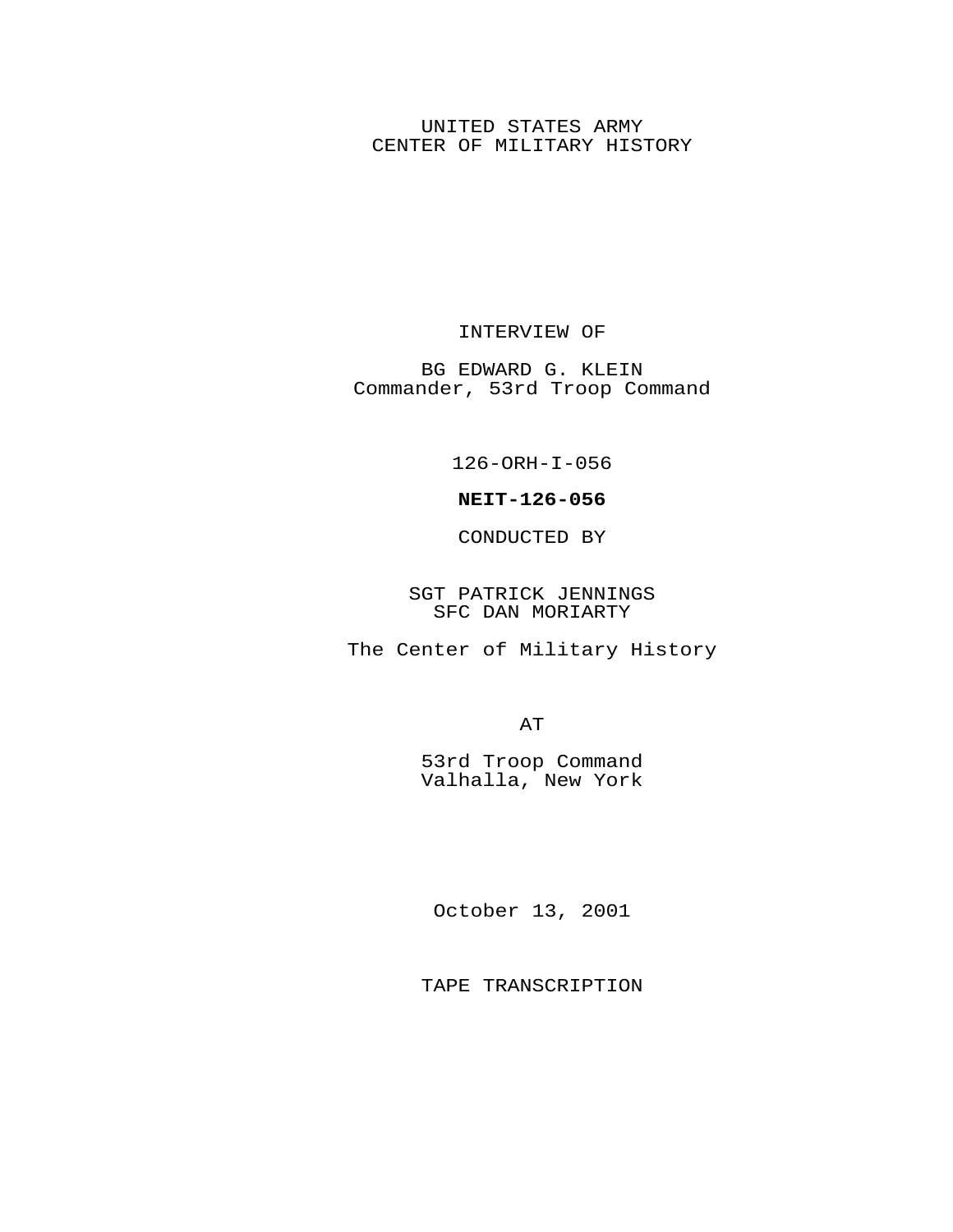## UNITED STATES ARMY CENTER OF MILITARY HISTORY

## INTERVIEW OF

BG EDWARD G. KLEIN Commander, 53rd Troop Command

126-ORH-I-056

## **NEIT-126-056**

CONDUCTED BY

SGT PATRICK JENNINGS SFC DAN MORIARTY

The Center of Military History

AT

53rd Troop Command Valhalla, New York

October 13, 2001

TAPE TRANSCRIPTION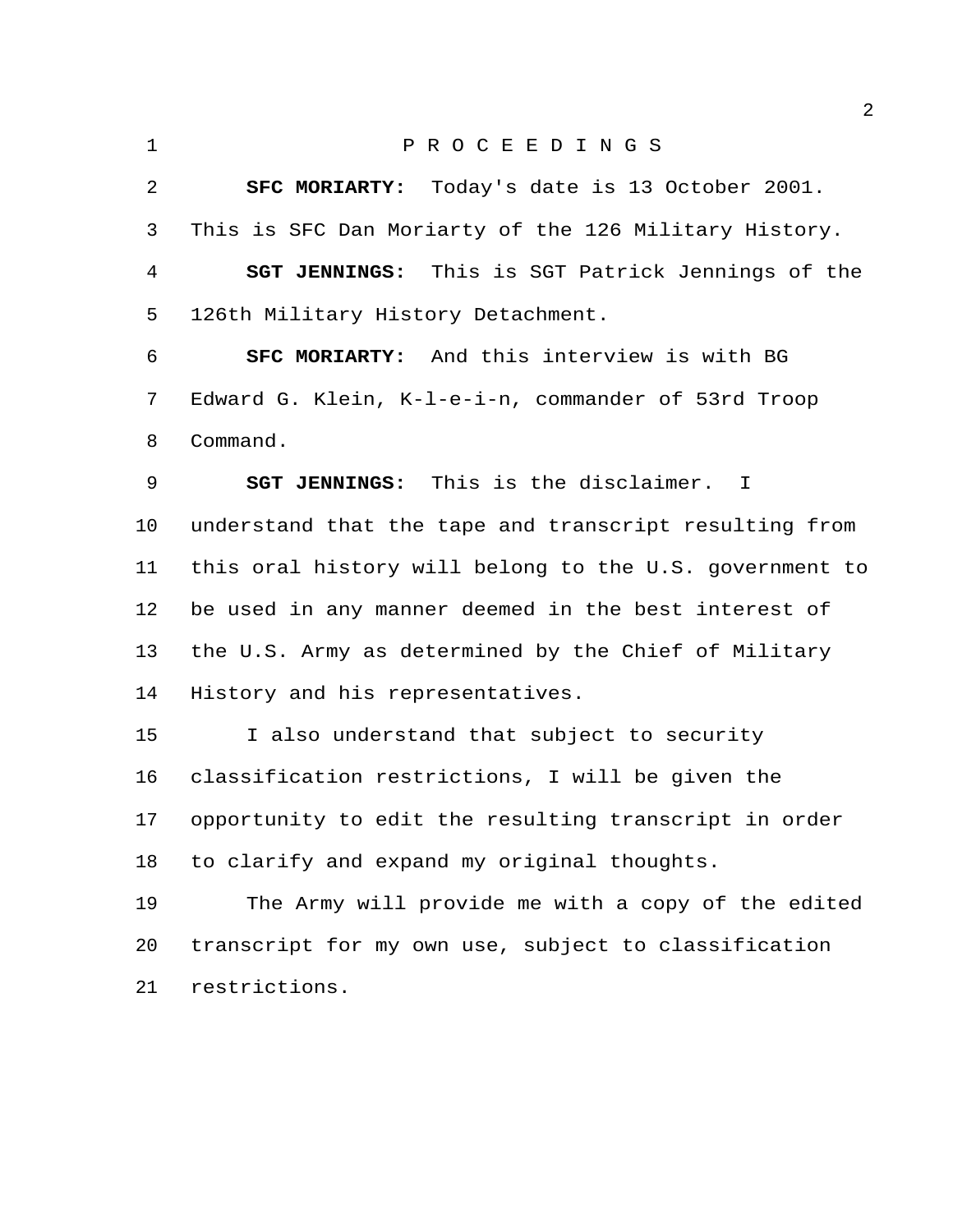P R O C E E D I N G S **SFC MORIARTY:** Today's date is 13 October 2001. This is SFC Dan Moriarty of the 126 Military History. **SGT JENNINGS:** This is SGT Patrick Jennings of the 126th Military History Detachment. **SFC MORIARTY:** And this interview is with BG Edward G. Klein, K-l-e-i-n, commander of 53rd Troop Command. **SGT JENNINGS:** This is the disclaimer. I understand that the tape and transcript resulting from this oral history will belong to the U.S. government to be used in any manner deemed in the best interest of the U.S. Army as determined by the Chief of Military History and his representatives. I also understand that subject to security classification restrictions, I will be given the opportunity to edit the resulting transcript in order to clarify and expand my original thoughts. The Army will provide me with a copy of the edited transcript for my own use, subject to classification restrictions.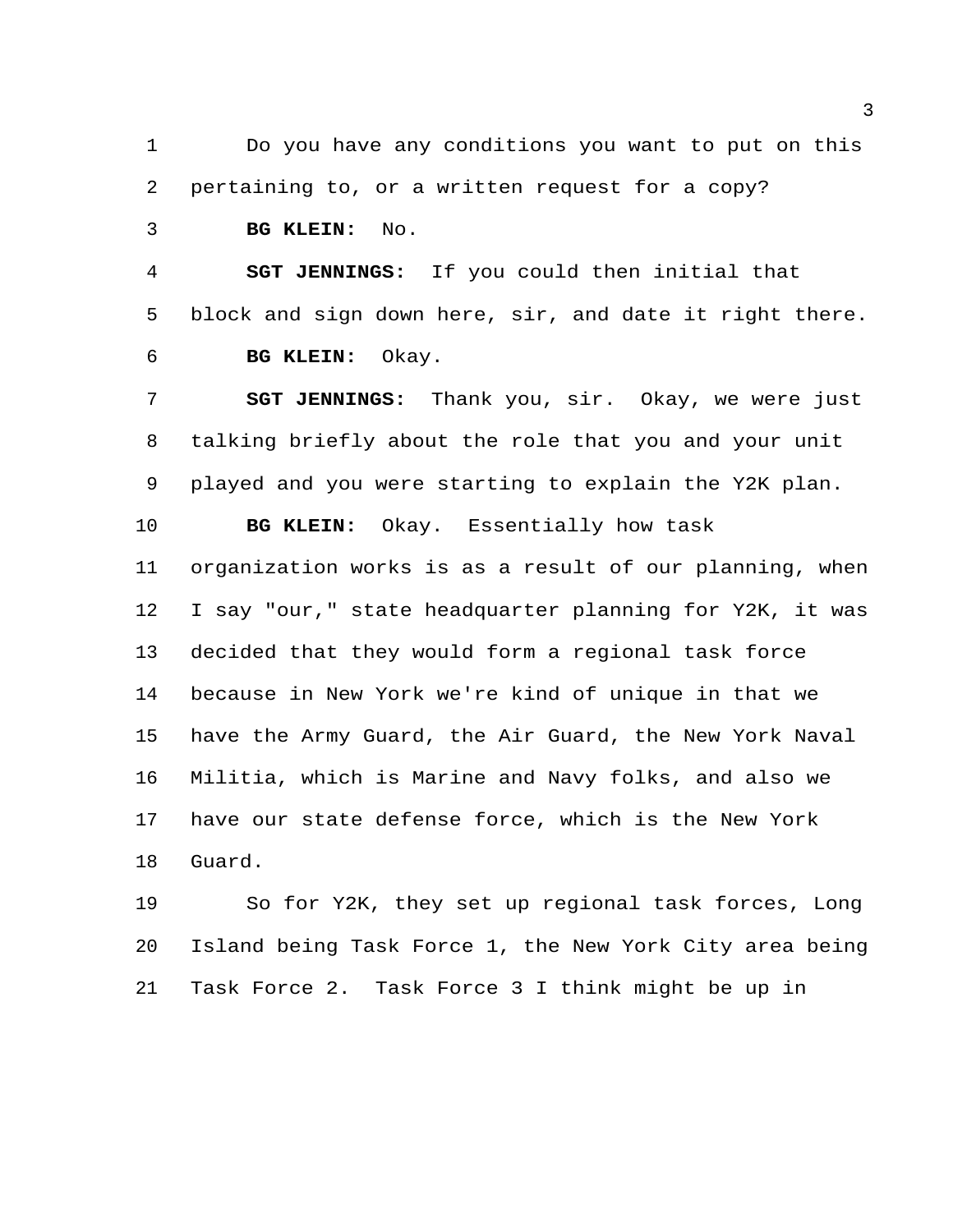Do you have any conditions you want to put on this pertaining to, or a written request for a copy?

**BG KLEIN:** No.

 **SGT JENNINGS:** If you could then initial that block and sign down here, sir, and date it right there. **BG KLEIN:** Okay.

 **SGT JENNINGS:** Thank you, sir. Okay, we were just talking briefly about the role that you and your unit played and you were starting to explain the Y2K plan.

 **BG KLEIN:** Okay. Essentially how task organization works is as a result of our planning, when I say "our," state headquarter planning for Y2K, it was decided that they would form a regional task force because in New York we're kind of unique in that we have the Army Guard, the Air Guard, the New York Naval Militia, which is Marine and Navy folks, and also we have our state defense force, which is the New York Guard.

 So for Y2K, they set up regional task forces, Long Island being Task Force 1, the New York City area being Task Force 2. Task Force 3 I think might be up in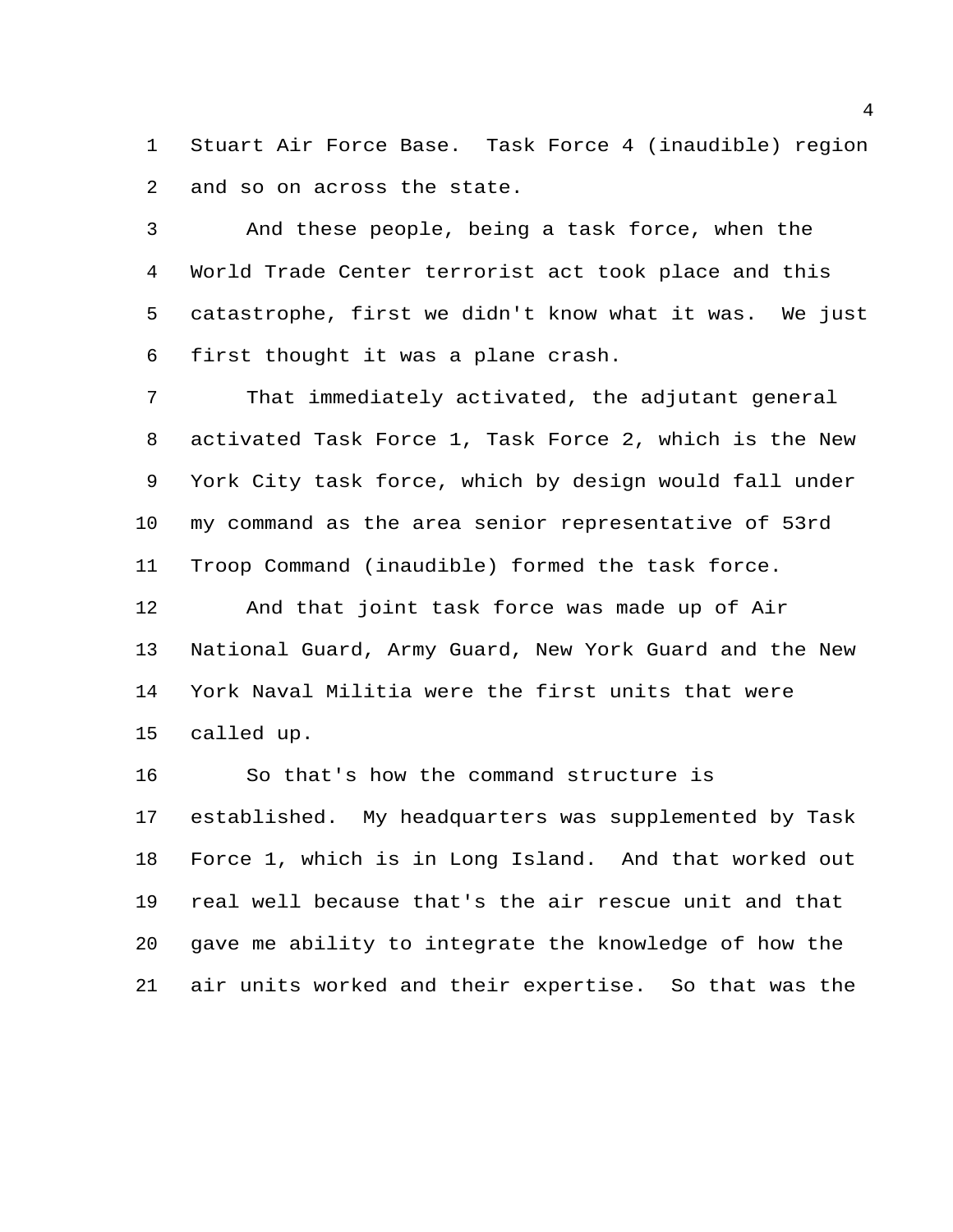Stuart Air Force Base. Task Force 4 (inaudible) region and so on across the state.

 And these people, being a task force, when the World Trade Center terrorist act took place and this catastrophe, first we didn't know what it was. We just first thought it was a plane crash.

 That immediately activated, the adjutant general activated Task Force 1, Task Force 2, which is the New York City task force, which by design would fall under my command as the area senior representative of 53rd Troop Command (inaudible) formed the task force.

 And that joint task force was made up of Air National Guard, Army Guard, New York Guard and the New York Naval Militia were the first units that were called up.

 So that's how the command structure is established. My headquarters was supplemented by Task Force 1, which is in Long Island. And that worked out real well because that's the air rescue unit and that gave me ability to integrate the knowledge of how the air units worked and their expertise. So that was the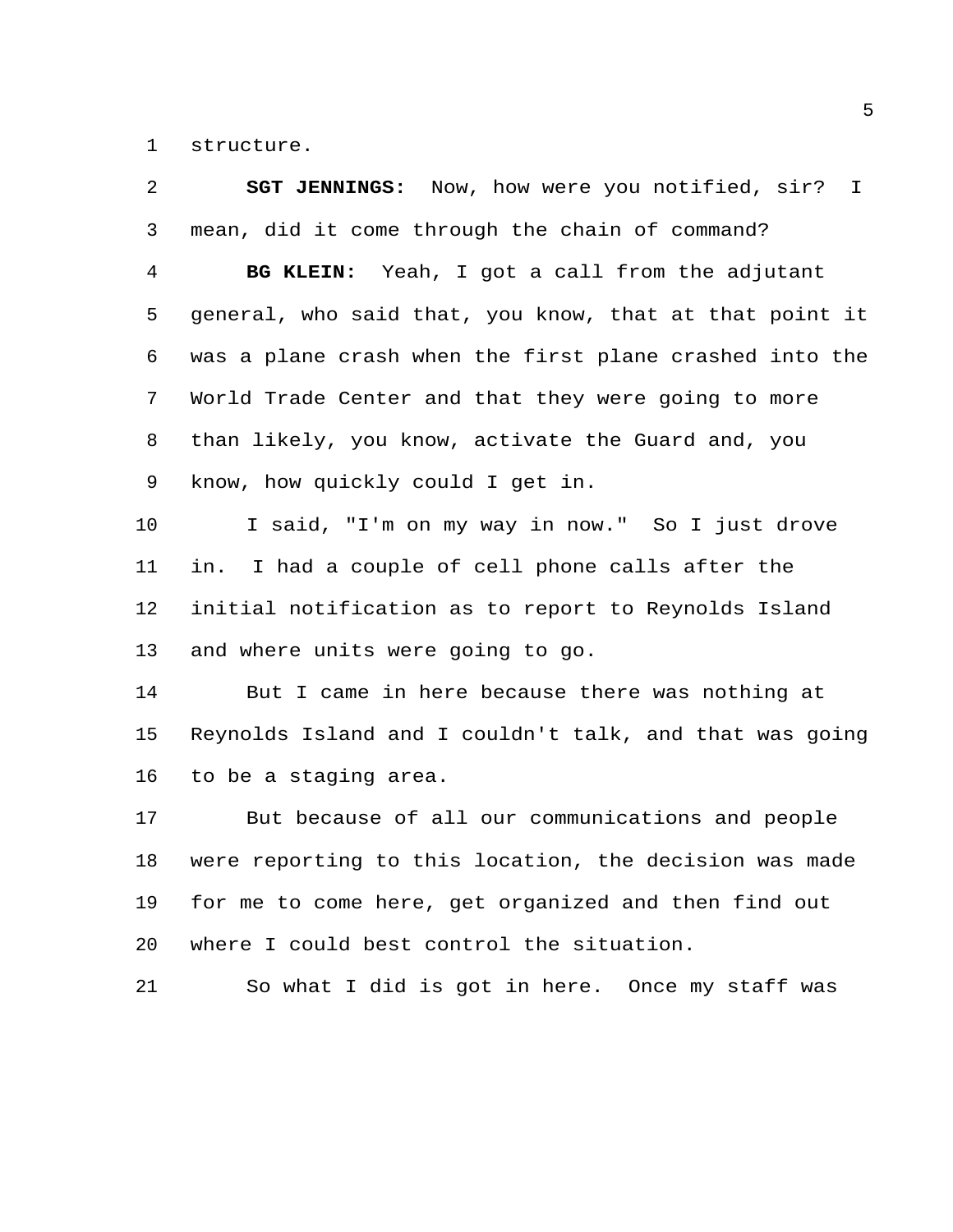structure.

| 2              | <b>SGT JENNINGS:</b> Now, how were you notified, sir?<br>$\perp$ |
|----------------|------------------------------------------------------------------|
| $\mathsf{3}$   | mean, did it come through the chain of command?                  |
| $\overline{4}$ | BG KLEIN: Yeah, I got a call from the adjutant                   |
| 5              | general, who said that, you know, that at that point it          |
| 6              | was a plane crash when the first plane crashed into the          |
| 7              | World Trade Center and that they were going to more              |
| 8              | than likely, you know, activate the Guard and, you               |
| 9              | know, how quickly could I get in.                                |
| 10             | I said, "I'm on my way in now." So I just drove                  |
| 11             | in. I had a couple of cell phone calls after the                 |
| 12             | initial notification as to report to Reynolds Island             |
| 13             | and where units were going to go.                                |
| 14             | But I came in here because there was nothing at                  |
| 15             | Reynolds Island and I couldn't talk, and that was going          |
| 16             | to be a staging area.                                            |
| 17             | But because of all our communications and people                 |
| 18             | were reporting to this location, the decision was made           |
| 19             | for me to come here, get organized and then find out             |
| 20             | where I could best control the situation.                        |
| 21             | So what I did is got in here. Once my staff was                  |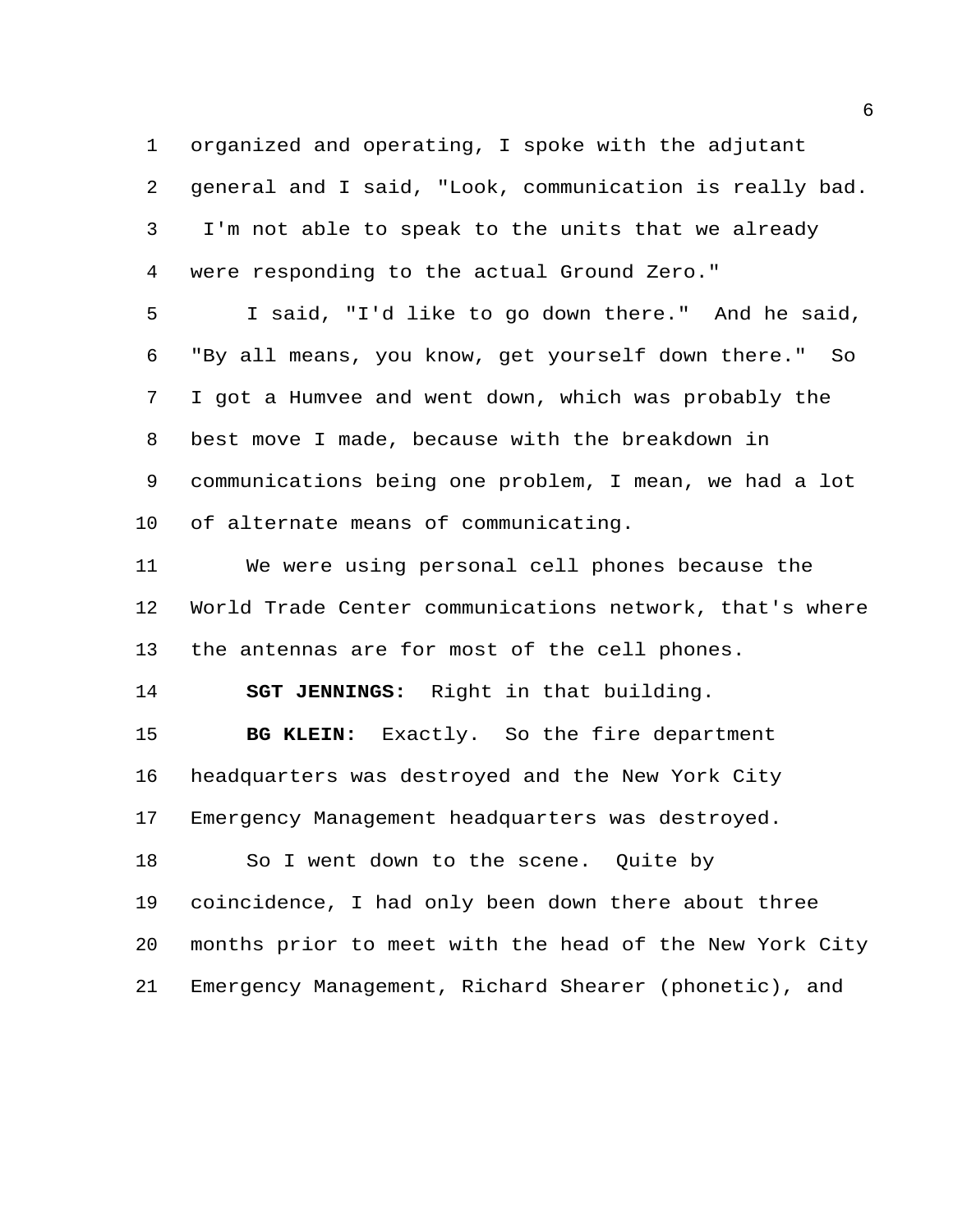organized and operating, I spoke with the adjutant general and I said, "Look, communication is really bad. I'm not able to speak to the units that we already were responding to the actual Ground Zero."

 I said, "I'd like to go down there." And he said, "By all means, you know, get yourself down there." So I got a Humvee and went down, which was probably the best move I made, because with the breakdown in communications being one problem, I mean, we had a lot of alternate means of communicating.

 We were using personal cell phones because the World Trade Center communications network, that's where the antennas are for most of the cell phones.

**SGT JENNINGS:** Right in that building.

 **BG KLEIN:** Exactly. So the fire department headquarters was destroyed and the New York City Emergency Management headquarters was destroyed.

 So I went down to the scene. Quite by coincidence, I had only been down there about three months prior to meet with the head of the New York City Emergency Management, Richard Shearer (phonetic), and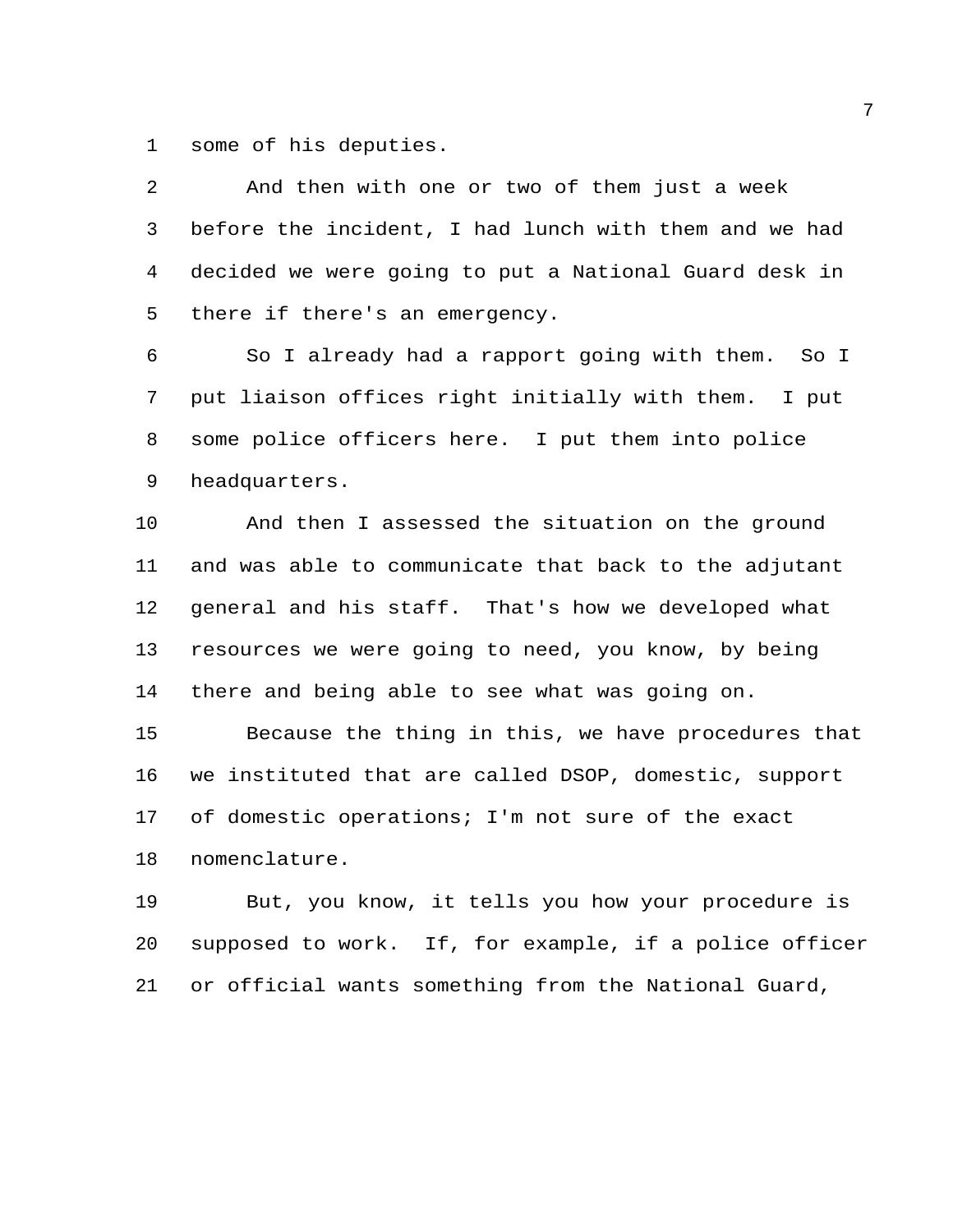some of his deputies.

 And then with one or two of them just a week before the incident, I had lunch with them and we had decided we were going to put a National Guard desk in there if there's an emergency.

 So I already had a rapport going with them. So I put liaison offices right initially with them. I put some police officers here. I put them into police headquarters.

 And then I assessed the situation on the ground and was able to communicate that back to the adjutant general and his staff. That's how we developed what resources we were going to need, you know, by being there and being able to see what was going on.

 Because the thing in this, we have procedures that we instituted that are called DSOP, domestic, support of domestic operations; I'm not sure of the exact nomenclature.

 But, you know, it tells you how your procedure is supposed to work. If, for example, if a police officer or official wants something from the National Guard,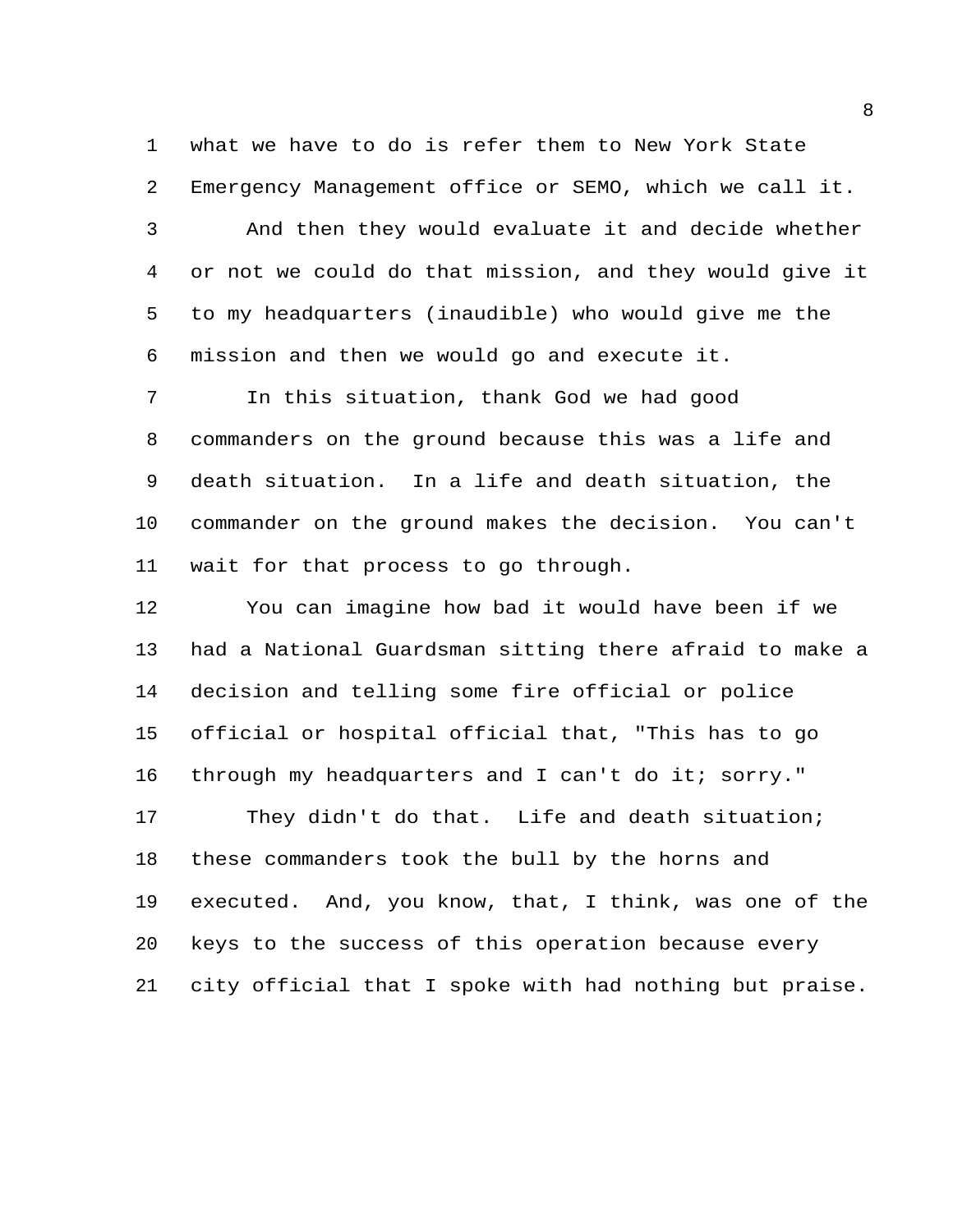what we have to do is refer them to New York State Emergency Management office or SEMO, which we call it. And then they would evaluate it and decide whether or not we could do that mission, and they would give it to my headquarters (inaudible) who would give me the mission and then we would go and execute it.

 In this situation, thank God we had good commanders on the ground because this was a life and death situation. In a life and death situation, the commander on the ground makes the decision. You can't wait for that process to go through.

 You can imagine how bad it would have been if we had a National Guardsman sitting there afraid to make a decision and telling some fire official or police official or hospital official that, "This has to go through my headquarters and I can't do it; sorry." They didn't do that. Life and death situation; these commanders took the bull by the horns and executed. And, you know, that, I think, was one of the keys to the success of this operation because every city official that I spoke with had nothing but praise.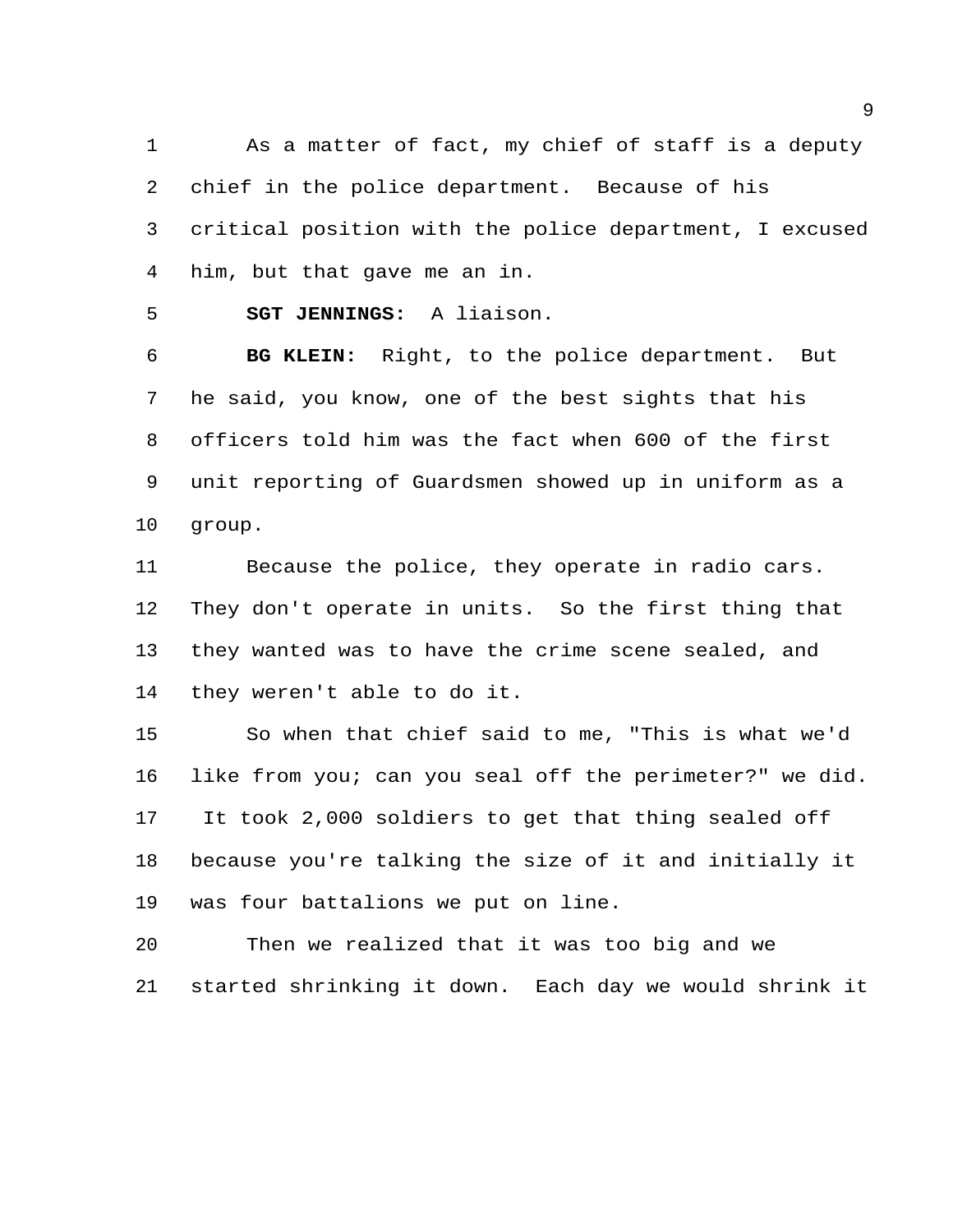As a matter of fact, my chief of staff is a deputy chief in the police department. Because of his critical position with the police department, I excused him, but that gave me an in.

**SGT JENNINGS:** A liaison.

 **BG KLEIN:** Right, to the police department. But he said, you know, one of the best sights that his officers told him was the fact when 600 of the first unit reporting of Guardsmen showed up in uniform as a group.

 Because the police, they operate in radio cars. They don't operate in units. So the first thing that they wanted was to have the crime scene sealed, and they weren't able to do it.

 So when that chief said to me, "This is what we'd like from you; can you seal off the perimeter?" we did. It took 2,000 soldiers to get that thing sealed off because you're talking the size of it and initially it was four battalions we put on line.

 Then we realized that it was too big and we started shrinking it down. Each day we would shrink it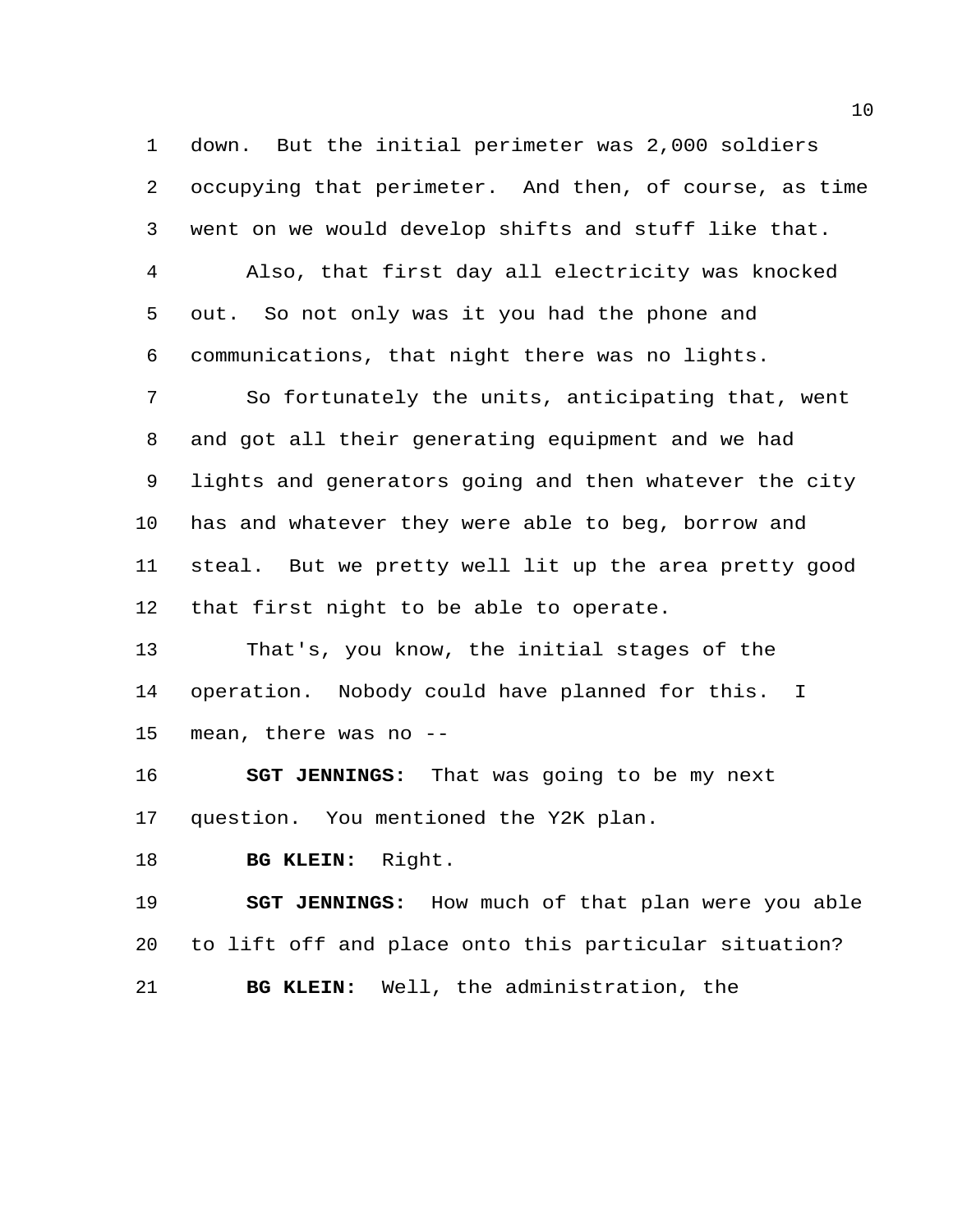down. But the initial perimeter was 2,000 soldiers occupying that perimeter. And then, of course, as time went on we would develop shifts and stuff like that. Also, that first day all electricity was knocked out. So not only was it you had the phone and communications, that night there was no lights.

 So fortunately the units, anticipating that, went and got all their generating equipment and we had lights and generators going and then whatever the city has and whatever they were able to beg, borrow and steal. But we pretty well lit up the area pretty good that first night to be able to operate.

 That's, you know, the initial stages of the operation. Nobody could have planned for this. I mean, there was no --

 **SGT JENNINGS:** That was going to be my next question. You mentioned the Y2K plan.

**BG KLEIN:** Right.

 **SGT JENNINGS:** How much of that plan were you able to lift off and place onto this particular situation? **BG KLEIN:** Well, the administration, the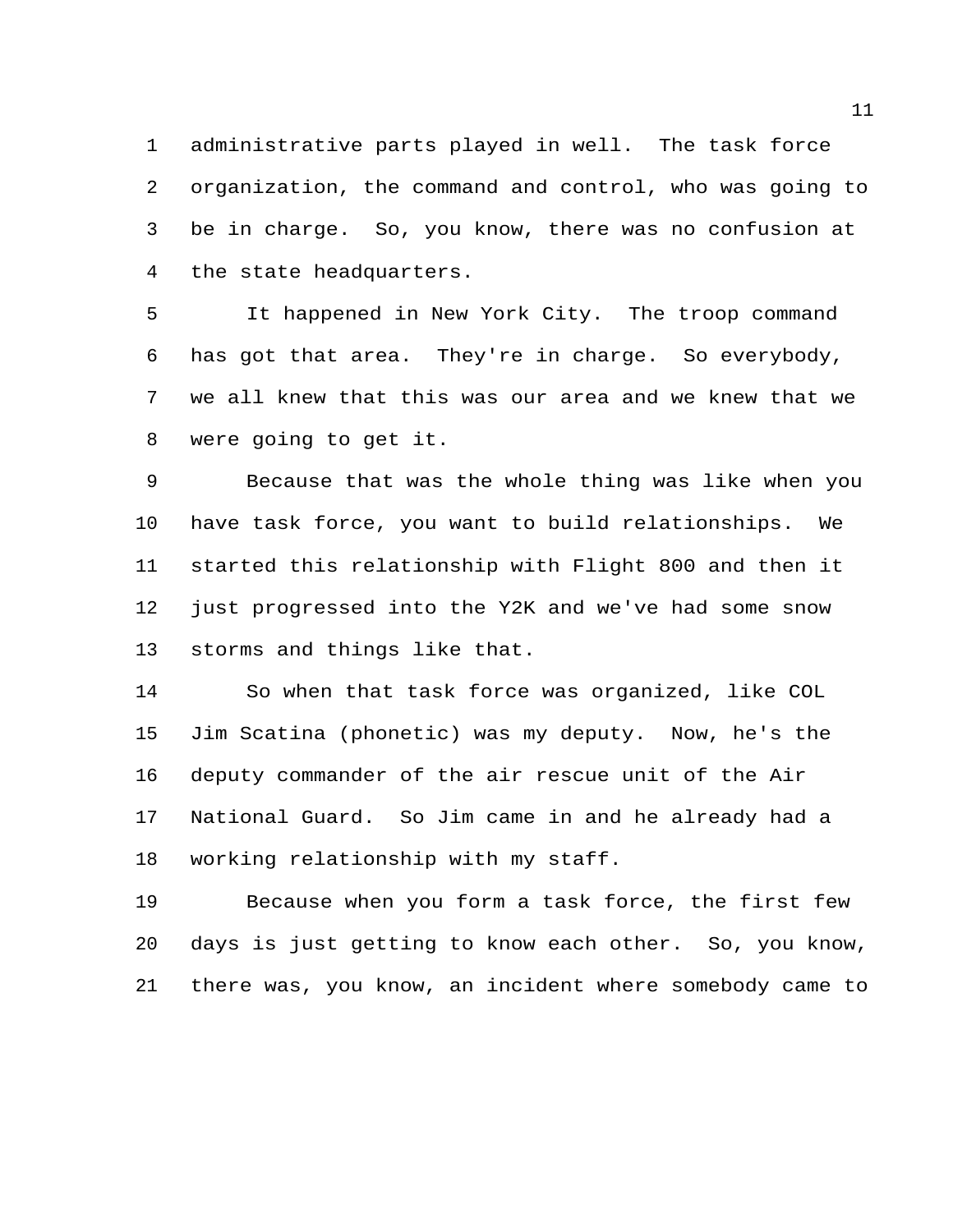administrative parts played in well. The task force organization, the command and control, who was going to be in charge. So, you know, there was no confusion at the state headquarters.

 It happened in New York City. The troop command has got that area. They're in charge. So everybody, we all knew that this was our area and we knew that we were going to get it.

 Because that was the whole thing was like when you have task force, you want to build relationships. We started this relationship with Flight 800 and then it just progressed into the Y2K and we've had some snow storms and things like that.

 So when that task force was organized, like COL Jim Scatina (phonetic) was my deputy. Now, he's the deputy commander of the air rescue unit of the Air National Guard. So Jim came in and he already had a working relationship with my staff.

 Because when you form a task force, the first few days is just getting to know each other. So, you know, there was, you know, an incident where somebody came to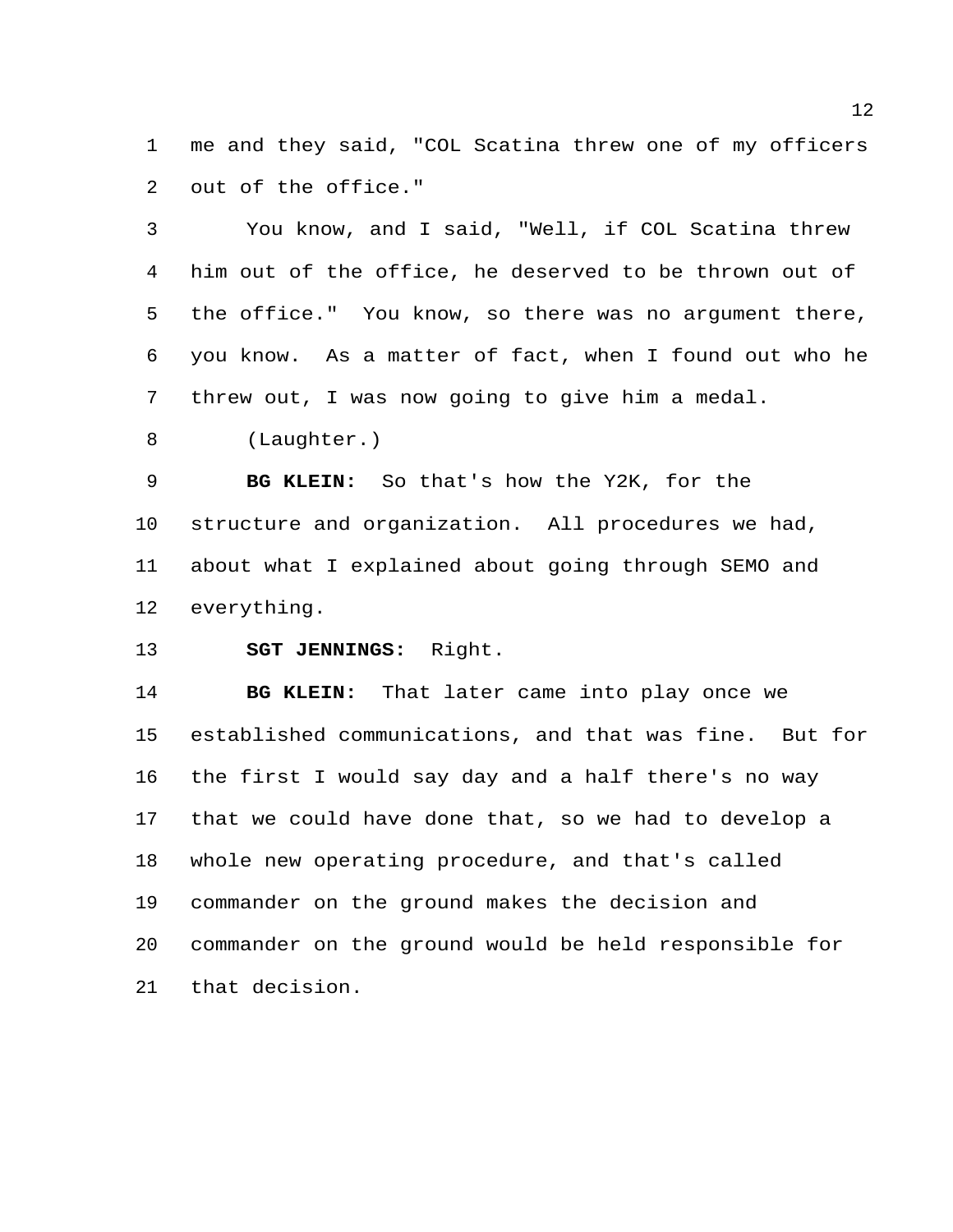me and they said, "COL Scatina threw one of my officers out of the office."

 You know, and I said, "Well, if COL Scatina threw him out of the office, he deserved to be thrown out of the office." You know, so there was no argument there, you know. As a matter of fact, when I found out who he threw out, I was now going to give him a medal.

(Laughter.)

 **BG KLEIN:** So that's how the Y2K, for the structure and organization. All procedures we had, about what I explained about going through SEMO and everything.

**SGT JENNINGS:** Right.

 **BG KLEIN:** That later came into play once we established communications, and that was fine. But for the first I would say day and a half there's no way that we could have done that, so we had to develop a whole new operating procedure, and that's called commander on the ground makes the decision and commander on the ground would be held responsible for that decision.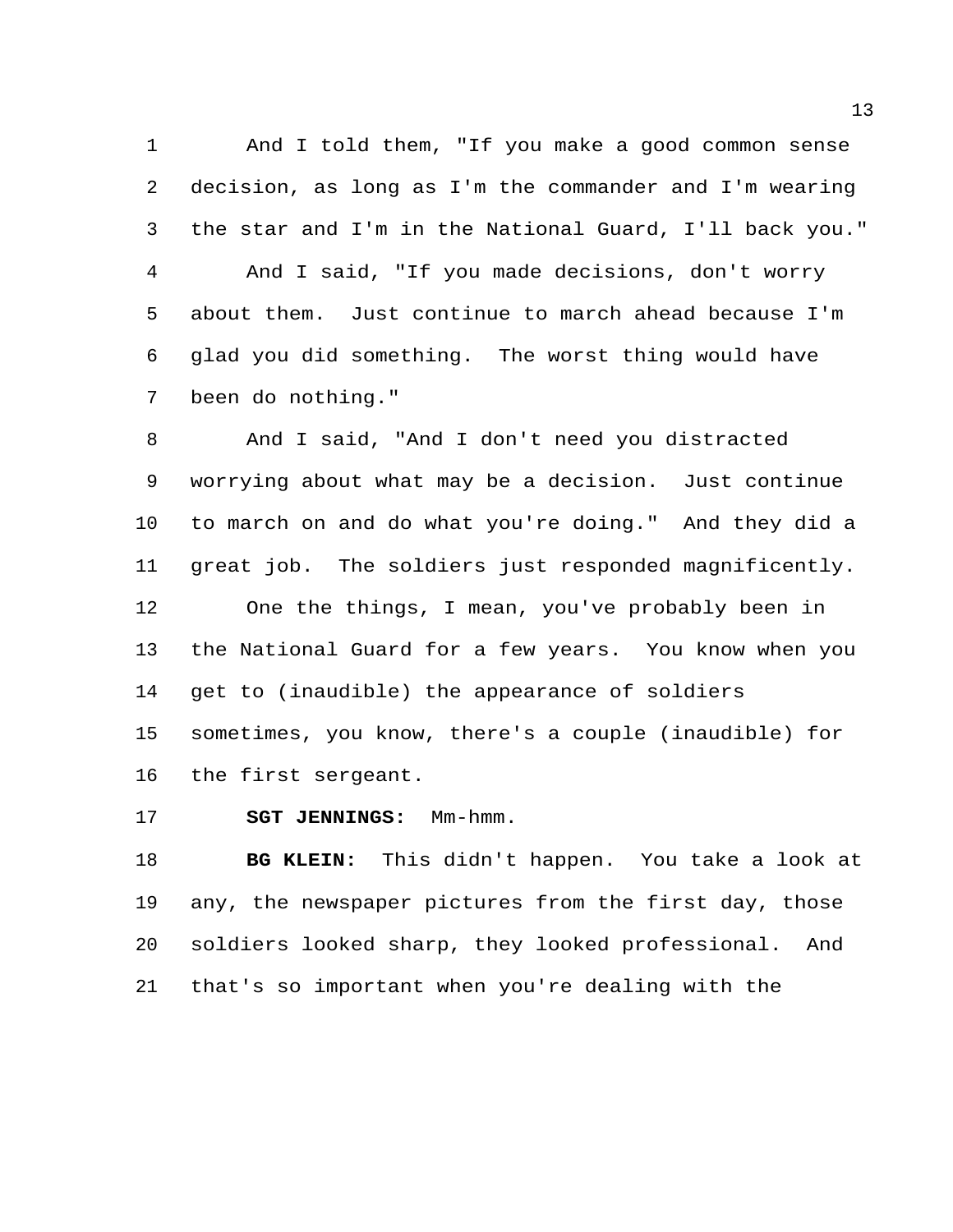And I told them, "If you make a good common sense decision, as long as I'm the commander and I'm wearing the star and I'm in the National Guard, I'll back you." And I said, "If you made decisions, don't worry about them. Just continue to march ahead because I'm glad you did something. The worst thing would have been do nothing."

 And I said, "And I don't need you distracted worrying about what may be a decision. Just continue to march on and do what you're doing." And they did a great job. The soldiers just responded magnificently. One the things, I mean, you've probably been in the National Guard for a few years. You know when you get to (inaudible) the appearance of soldiers sometimes, you know, there's a couple (inaudible) for the first sergeant.

**SGT JENNINGS:** Mm-hmm.

 **BG KLEIN:** This didn't happen. You take a look at any, the newspaper pictures from the first day, those soldiers looked sharp, they looked professional. And that's so important when you're dealing with the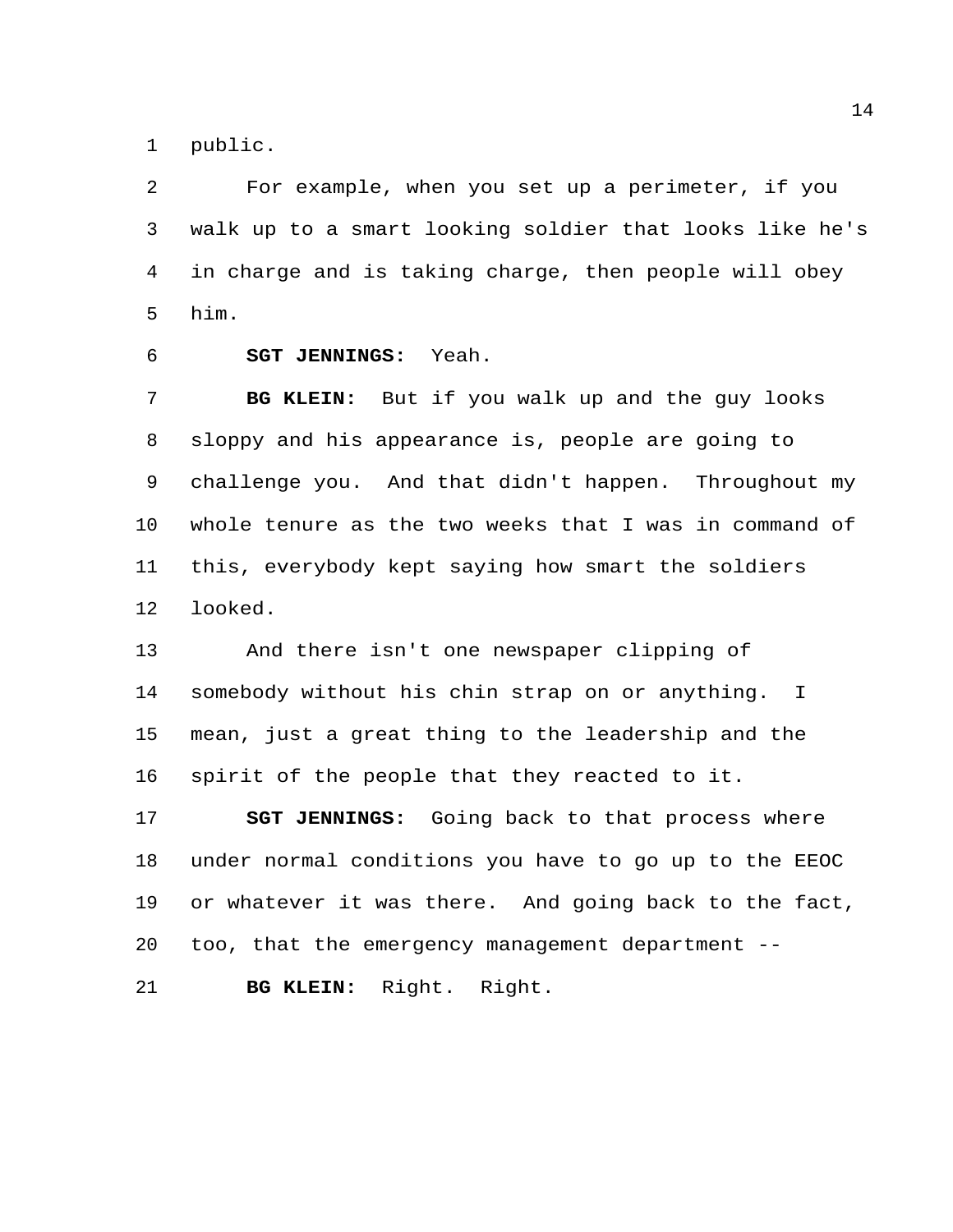public.

 For example, when you set up a perimeter, if you walk up to a smart looking soldier that looks like he's in charge and is taking charge, then people will obey him.

**SGT JENNINGS:** Yeah.

 **BG KLEIN:** But if you walk up and the guy looks sloppy and his appearance is, people are going to challenge you. And that didn't happen. Throughout my whole tenure as the two weeks that I was in command of this, everybody kept saying how smart the soldiers looked.

 And there isn't one newspaper clipping of somebody without his chin strap on or anything. I mean, just a great thing to the leadership and the spirit of the people that they reacted to it.

 **SGT JENNINGS:** Going back to that process where under normal conditions you have to go up to the EEOC or whatever it was there. And going back to the fact, too, that the emergency management department --

**BG KLEIN:** Right. Right.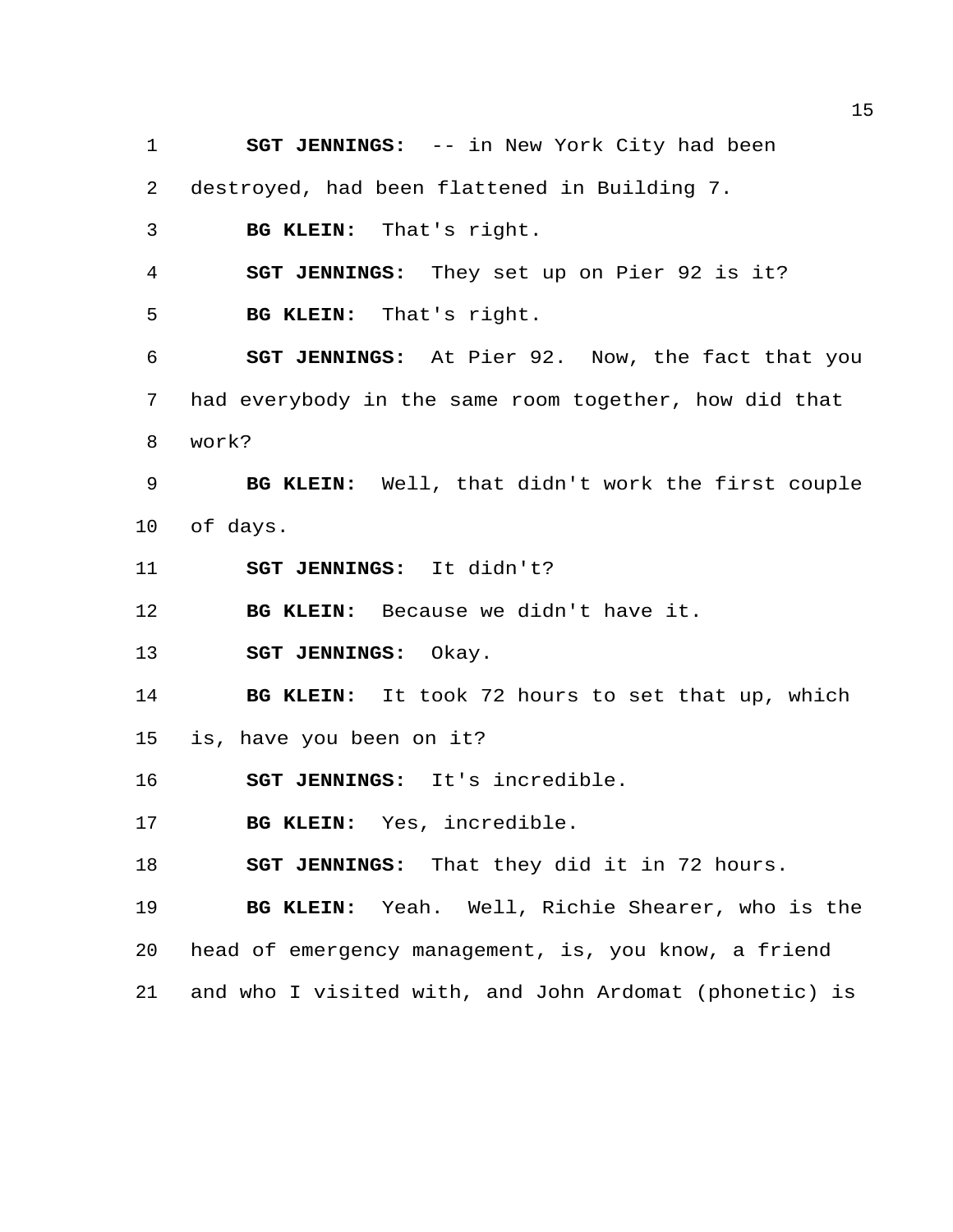**SGT JENNINGS:** -- in New York City had been destroyed, had been flattened in Building 7. **BG KLEIN:** That's right. **SGT JENNINGS:** They set up on Pier 92 is it? **BG KLEIN:** That's right. **SGT JENNINGS:** At Pier 92. Now, the fact that you had everybody in the same room together, how did that work? **BG KLEIN:** Well, that didn't work the first couple of days. **SGT JENNINGS:** It didn't? **BG KLEIN:** Because we didn't have it. **SGT JENNINGS:** Okay. **BG KLEIN:** It took 72 hours to set that up, which is, have you been on it? **SGT JENNINGS:** It's incredible. **BG KLEIN:** Yes, incredible. **SGT JENNINGS:** That they did it in 72 hours. **BG KLEIN:** Yeah. Well, Richie Shearer, who is the head of emergency management, is, you know, a friend and who I visited with, and John Ardomat (phonetic) is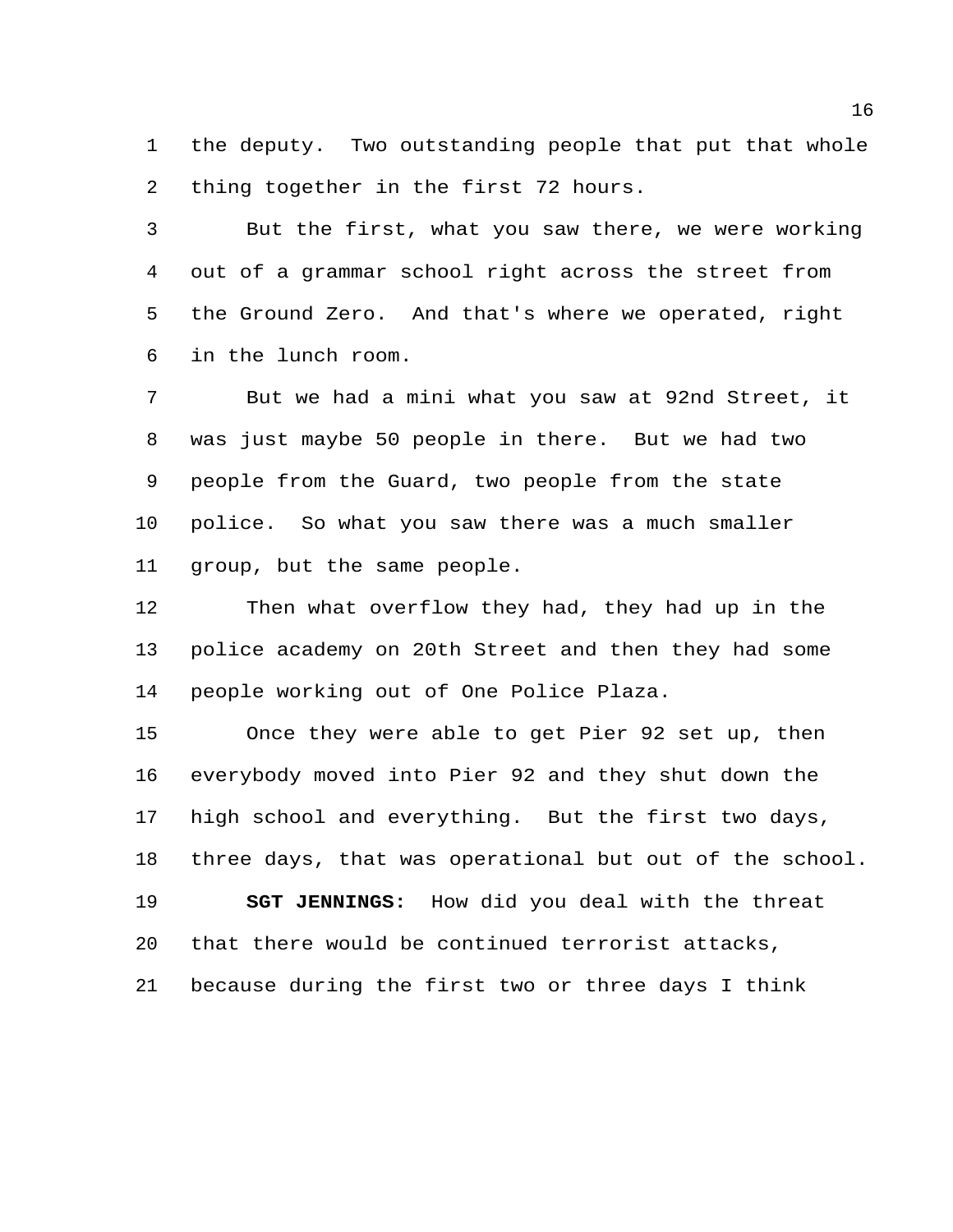the deputy. Two outstanding people that put that whole thing together in the first 72 hours.

 But the first, what you saw there, we were working out of a grammar school right across the street from the Ground Zero. And that's where we operated, right in the lunch room.

 But we had a mini what you saw at 92nd Street, it was just maybe 50 people in there. But we had two people from the Guard, two people from the state police. So what you saw there was a much smaller group, but the same people.

 Then what overflow they had, they had up in the police academy on 20th Street and then they had some people working out of One Police Plaza.

 Once they were able to get Pier 92 set up, then everybody moved into Pier 92 and they shut down the high school and everything. But the first two days, three days, that was operational but out of the school. **SGT JENNINGS:** How did you deal with the threat that there would be continued terrorist attacks, because during the first two or three days I think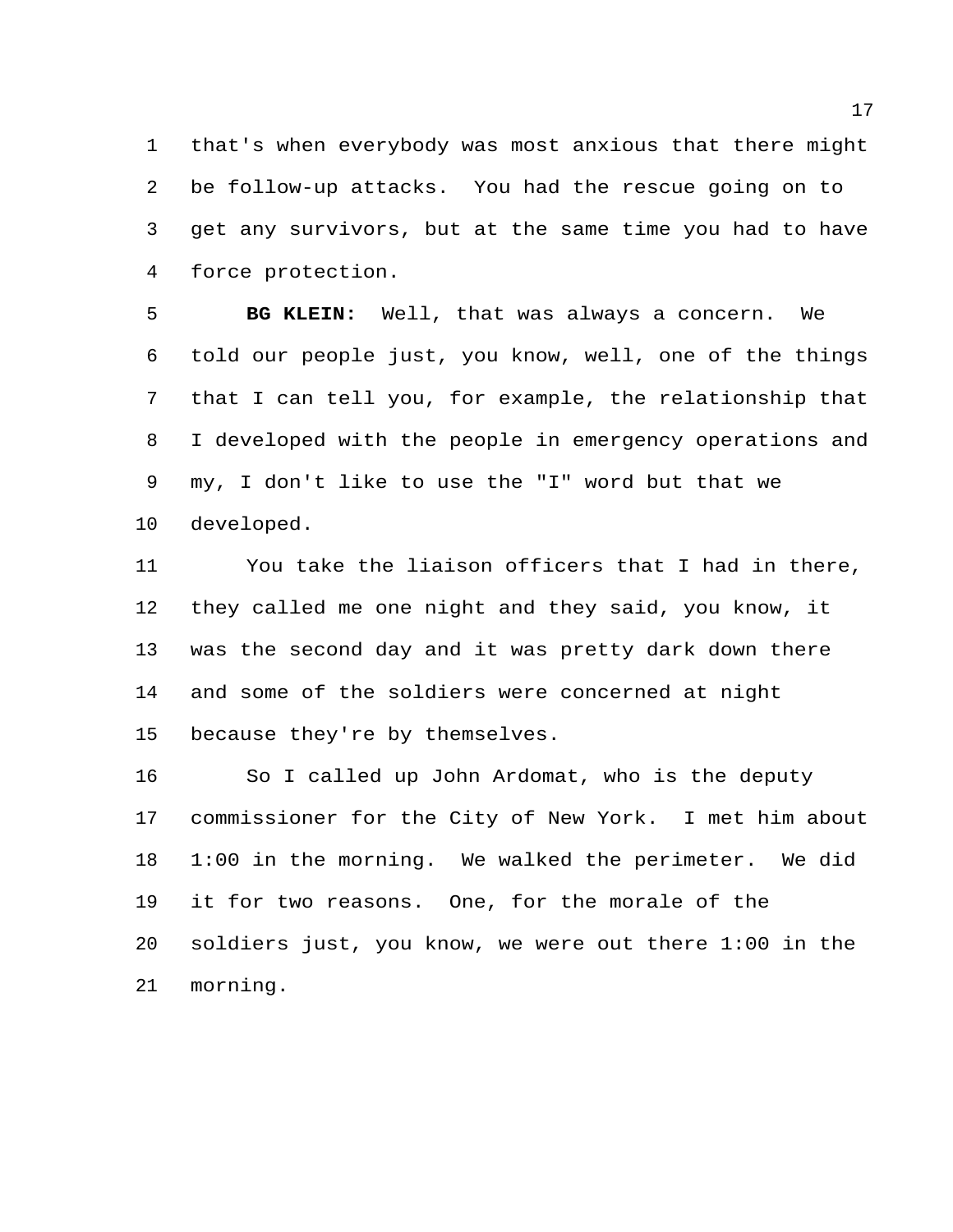that's when everybody was most anxious that there might be follow-up attacks. You had the rescue going on to get any survivors, but at the same time you had to have force protection.

 **BG KLEIN:** Well, that was always a concern. We told our people just, you know, well, one of the things that I can tell you, for example, the relationship that I developed with the people in emergency operations and my, I don't like to use the "I" word but that we developed.

 You take the liaison officers that I had in there, they called me one night and they said, you know, it was the second day and it was pretty dark down there and some of the soldiers were concerned at night because they're by themselves.

 So I called up John Ardomat, who is the deputy commissioner for the City of New York. I met him about 1:00 in the morning. We walked the perimeter. We did it for two reasons. One, for the morale of the soldiers just, you know, we were out there 1:00 in the morning.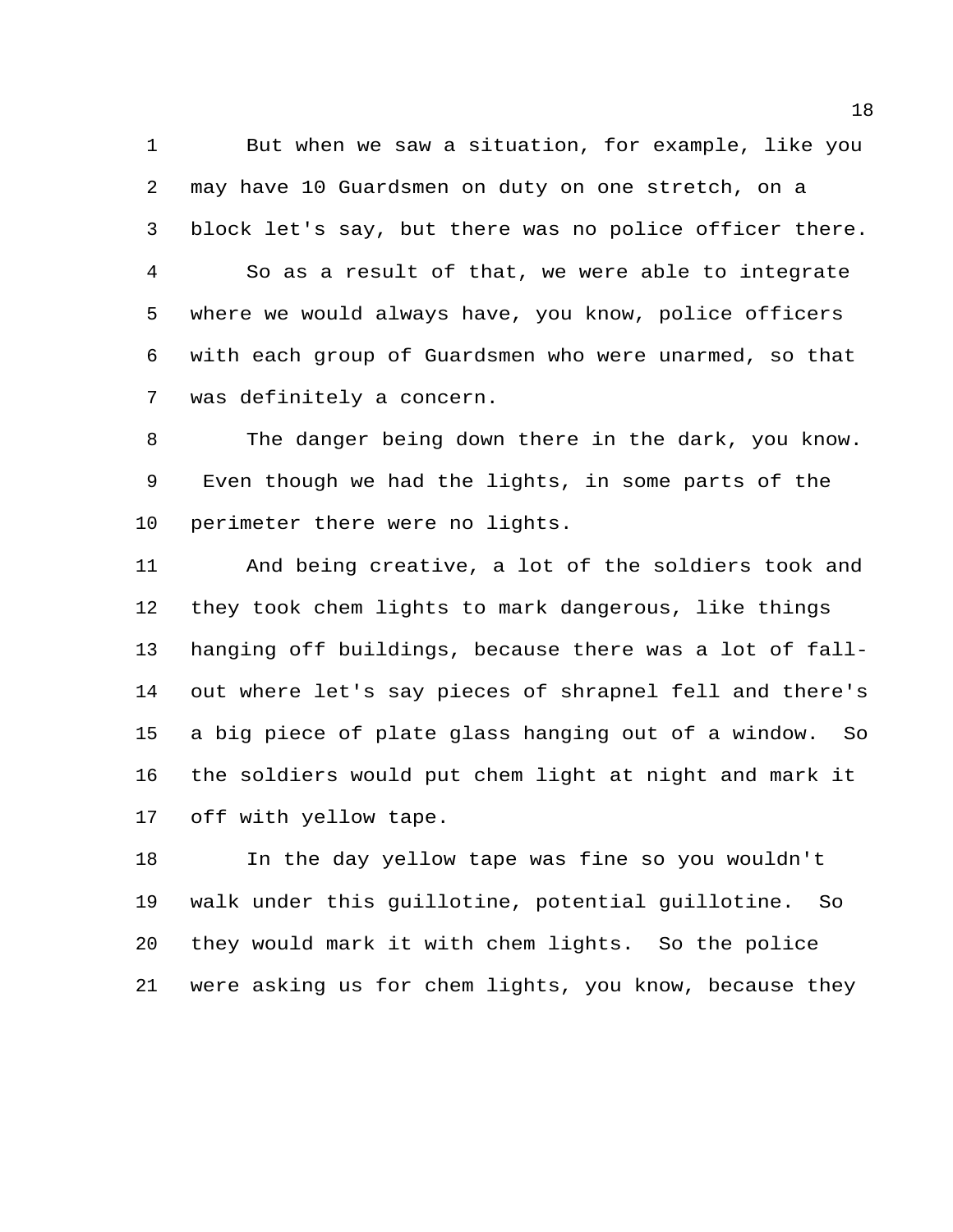But when we saw a situation, for example, like you may have 10 Guardsmen on duty on one stretch, on a block let's say, but there was no police officer there. So as a result of that, we were able to integrate where we would always have, you know, police officers with each group of Guardsmen who were unarmed, so that was definitely a concern.

 The danger being down there in the dark, you know. Even though we had the lights, in some parts of the perimeter there were no lights.

 And being creative, a lot of the soldiers took and they took chem lights to mark dangerous, like things hanging off buildings, because there was a lot of fall- out where let's say pieces of shrapnel fell and there's a big piece of plate glass hanging out of a window. So the soldiers would put chem light at night and mark it off with yellow tape.

 In the day yellow tape was fine so you wouldn't walk under this guillotine, potential guillotine. So they would mark it with chem lights. So the police were asking us for chem lights, you know, because they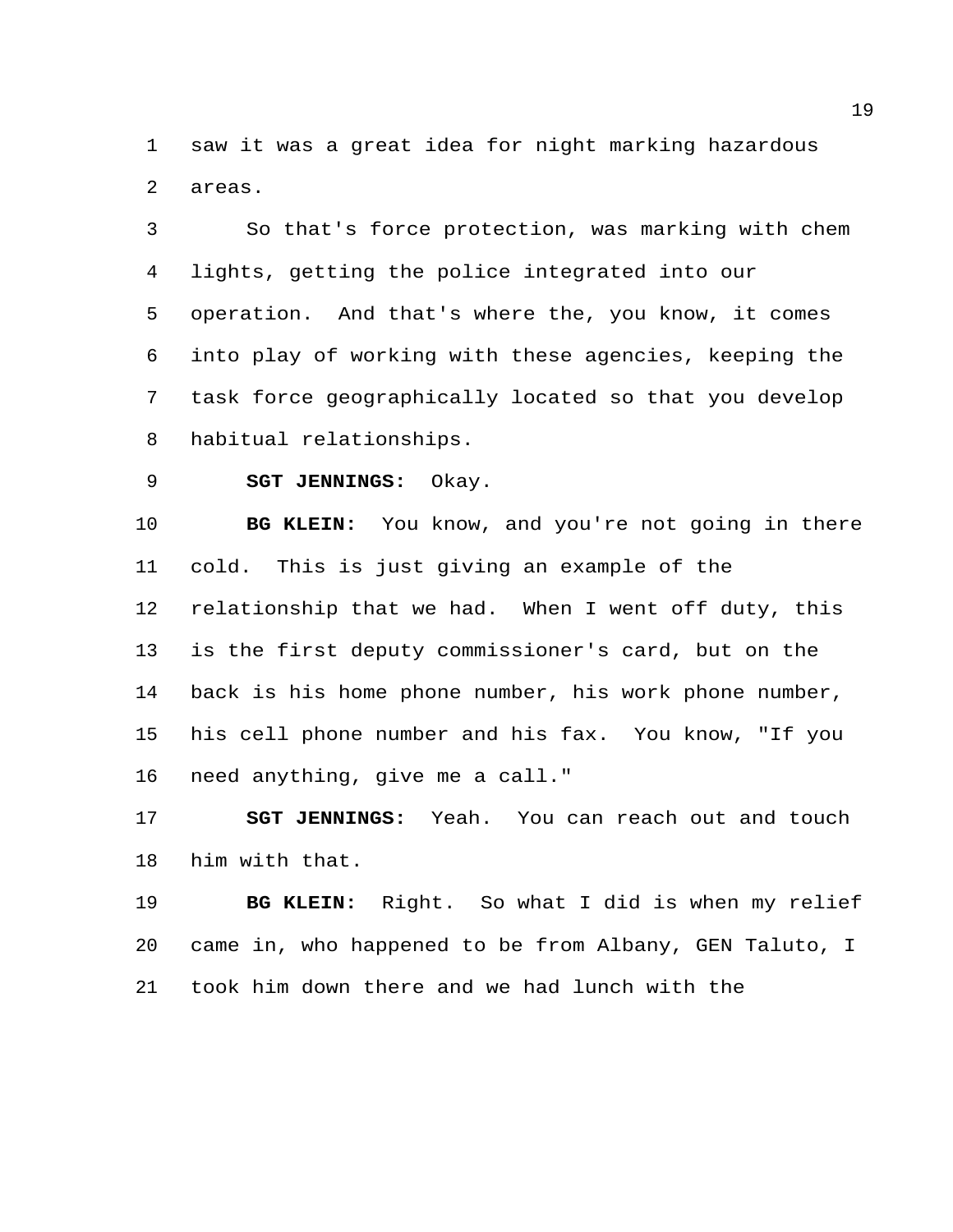saw it was a great idea for night marking hazardous areas.

 So that's force protection, was marking with chem lights, getting the police integrated into our operation. And that's where the, you know, it comes into play of working with these agencies, keeping the task force geographically located so that you develop habitual relationships.

**SGT JENNINGS:** Okay.

 **BG KLEIN:** You know, and you're not going in there cold. This is just giving an example of the relationship that we had. When I went off duty, this is the first deputy commissioner's card, but on the back is his home phone number, his work phone number, his cell phone number and his fax. You know, "If you need anything, give me a call."

 **SGT JENNINGS:** Yeah. You can reach out and touch him with that.

 **BG KLEIN:** Right. So what I did is when my relief came in, who happened to be from Albany, GEN Taluto, I took him down there and we had lunch with the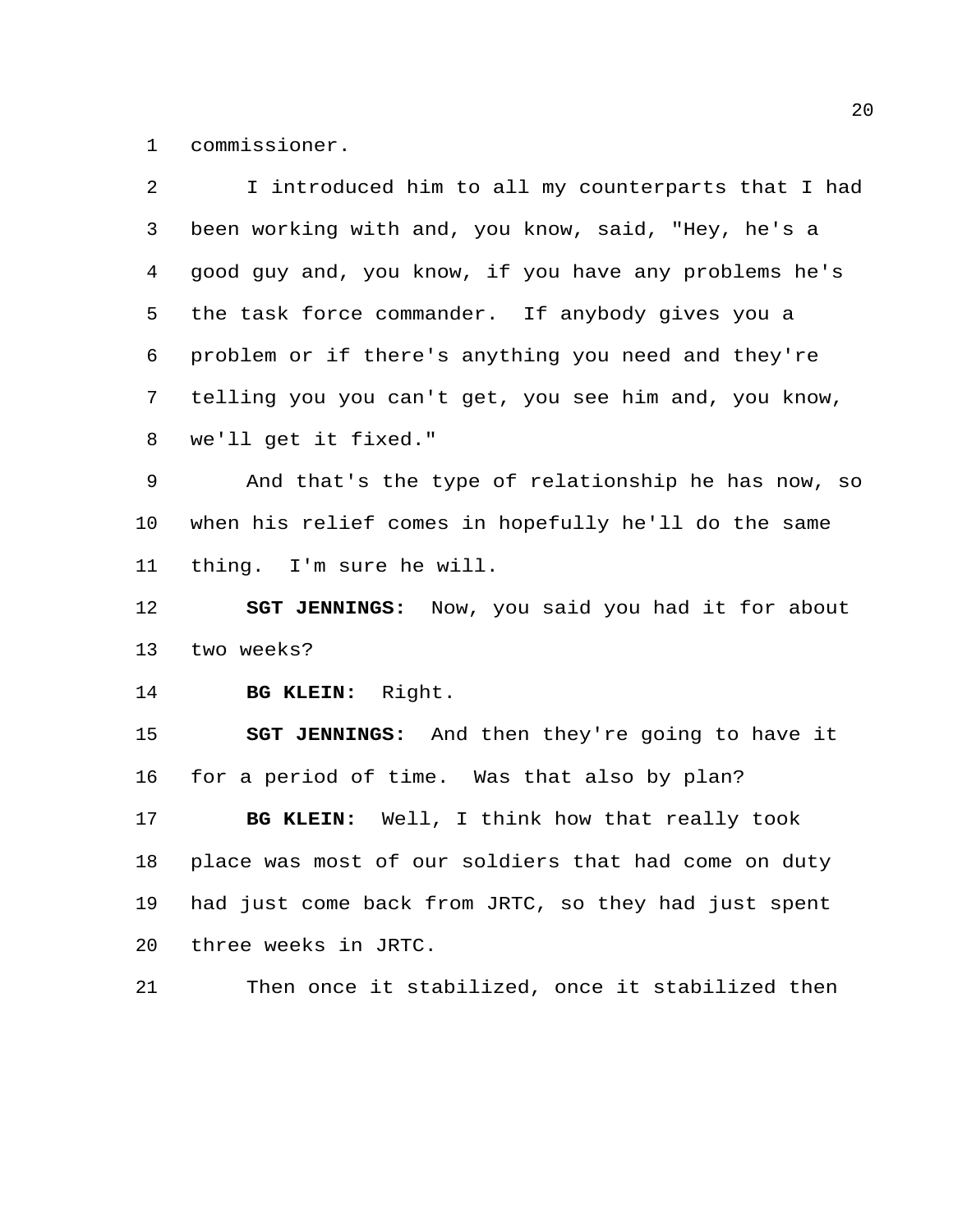commissioner.

| 2  | I introduced him to all my counterparts that I had      |
|----|---------------------------------------------------------|
| 3  | been working with and, you know, said, "Hey, he's a     |
| 4  | good guy and, you know, if you have any problems he's   |
| 5  | the task force commander. If anybody gives you a        |
| 6  | problem or if there's anything you need and they're     |
| 7  | telling you you can't get, you see him and, you know,   |
| 8  | we'll get it fixed."                                    |
| 9  | And that's the type of relationship he has now, so      |
| 10 | when his relief comes in hopefully he'll do the same    |
| 11 | thing. I'm sure he will.                                |
| 12 | <b>SGT JENNINGS:</b> Now, you said you had it for about |
| 13 | two weeks?                                              |
| 14 | BG KLEIN: Right.                                        |
| 15 | <b>SGT JENNINGS:</b> And then they're going to have it  |
| 16 | for a period of time. Was that also by plan?            |
| 17 | BG KLEIN: Well, I think how that really took            |
| 18 | place was most of our soldiers that had come on duty    |
| 19 | had just come back from JRTC, so they had just spent    |
| 20 | three weeks in JRTC.                                    |
| 21 | Then once it stabilized, once it stabilized then        |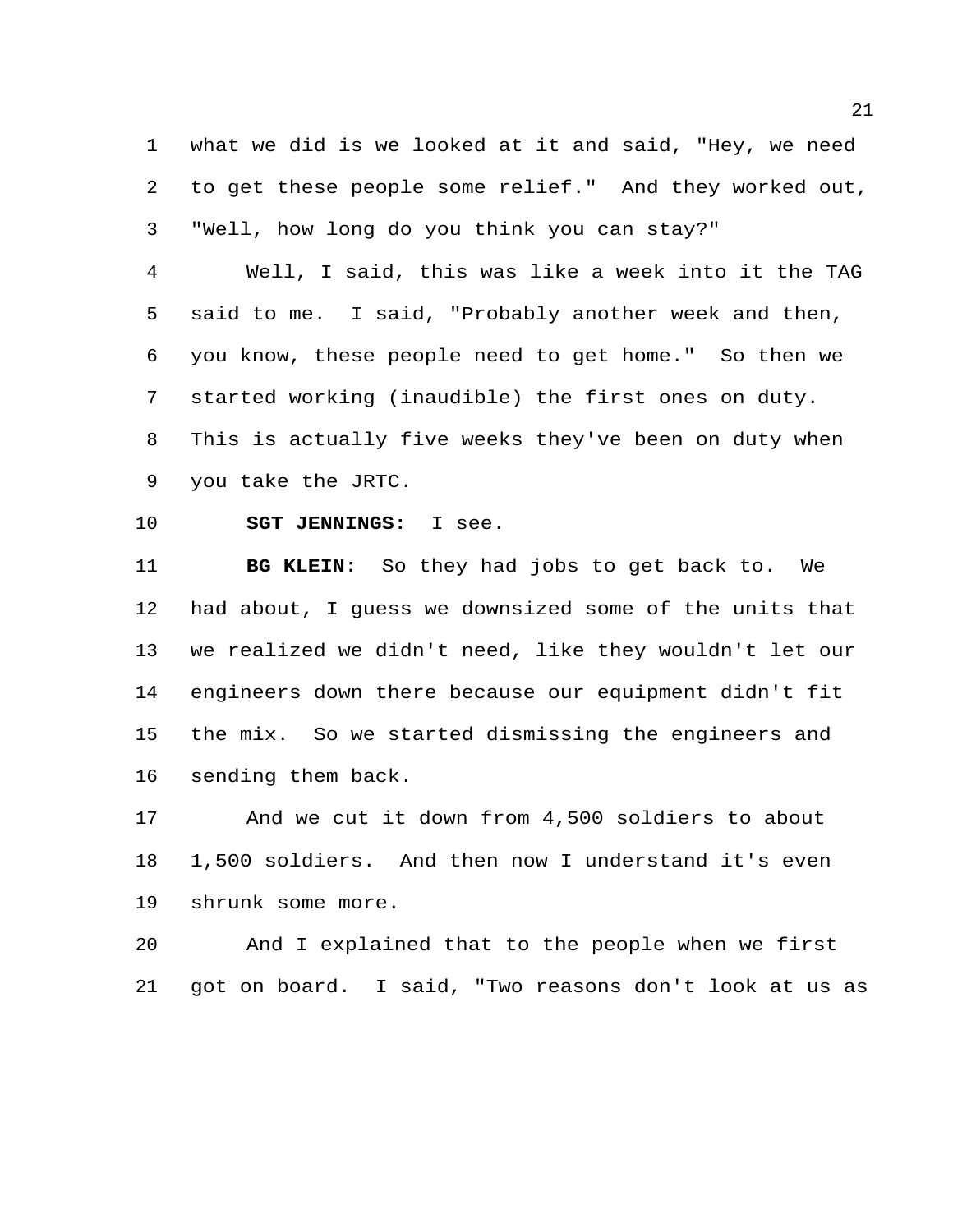what we did is we looked at it and said, "Hey, we need to get these people some relief." And they worked out, "Well, how long do you think you can stay?"

 Well, I said, this was like a week into it the TAG said to me. I said, "Probably another week and then, you know, these people need to get home." So then we started working (inaudible) the first ones on duty. This is actually five weeks they've been on duty when you take the JRTC.

**SGT JENNINGS:** I see.

 **BG KLEIN:** So they had jobs to get back to. We had about, I guess we downsized some of the units that we realized we didn't need, like they wouldn't let our engineers down there because our equipment didn't fit the mix. So we started dismissing the engineers and sending them back.

 And we cut it down from 4,500 soldiers to about 1,500 soldiers. And then now I understand it's even shrunk some more.

 And I explained that to the people when we first got on board. I said, "Two reasons don't look at us as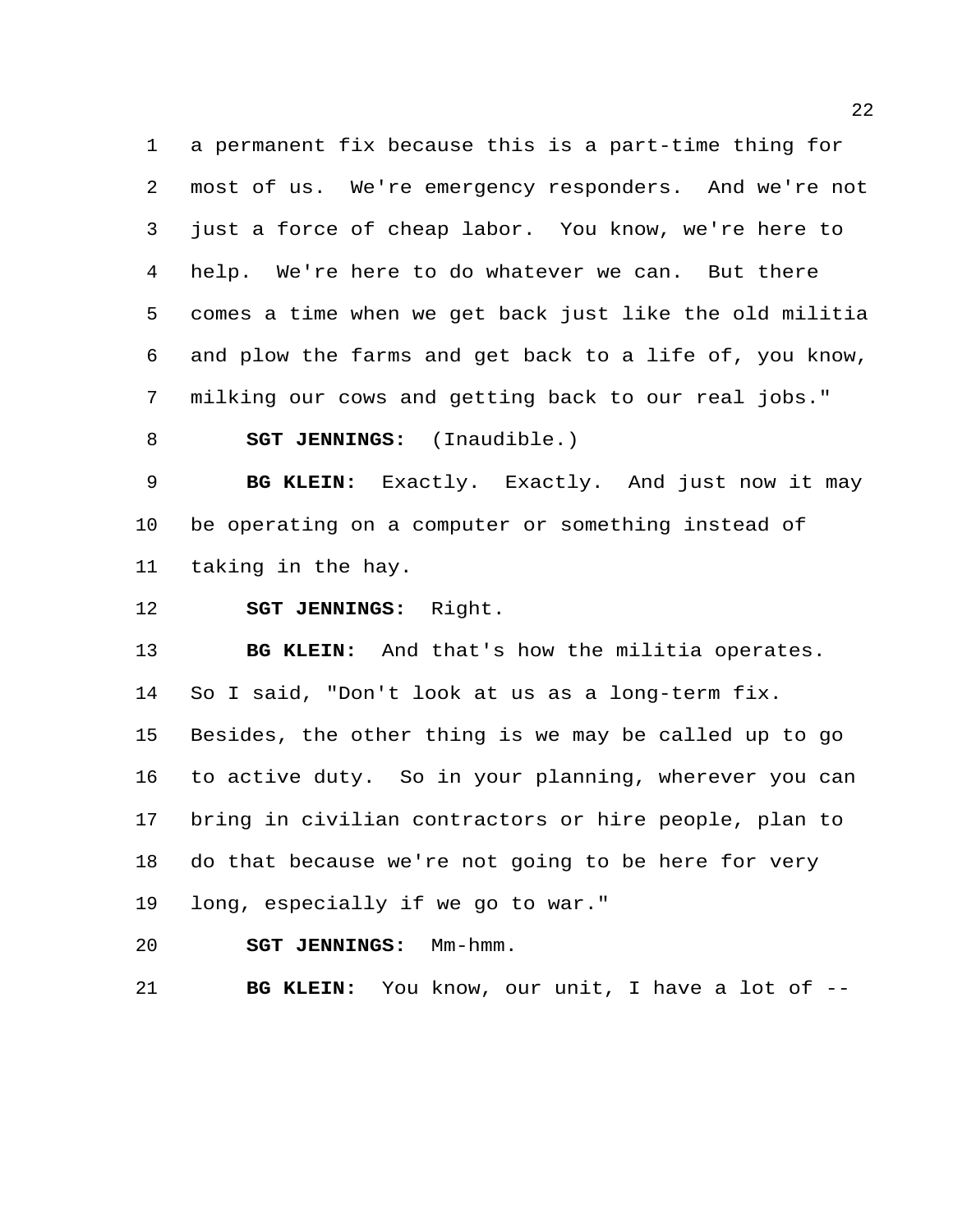a permanent fix because this is a part-time thing for most of us. We're emergency responders. And we're not just a force of cheap labor. You know, we're here to help. We're here to do whatever we can. But there comes a time when we get back just like the old militia and plow the farms and get back to a life of, you know, milking our cows and getting back to our real jobs."

**SGT JENNINGS:** (Inaudible.)

 **BG KLEIN:** Exactly. Exactly. And just now it may be operating on a computer or something instead of taking in the hay.

**SGT JENNINGS:** Right.

 **BG KLEIN:** And that's how the militia operates. So I said, "Don't look at us as a long-term fix. Besides, the other thing is we may be called up to go to active duty. So in your planning, wherever you can bring in civilian contractors or hire people, plan to do that because we're not going to be here for very long, especially if we go to war."

**SGT JENNINGS:** Mm-hmm.

**BG KLEIN:** You know, our unit, I have a lot of --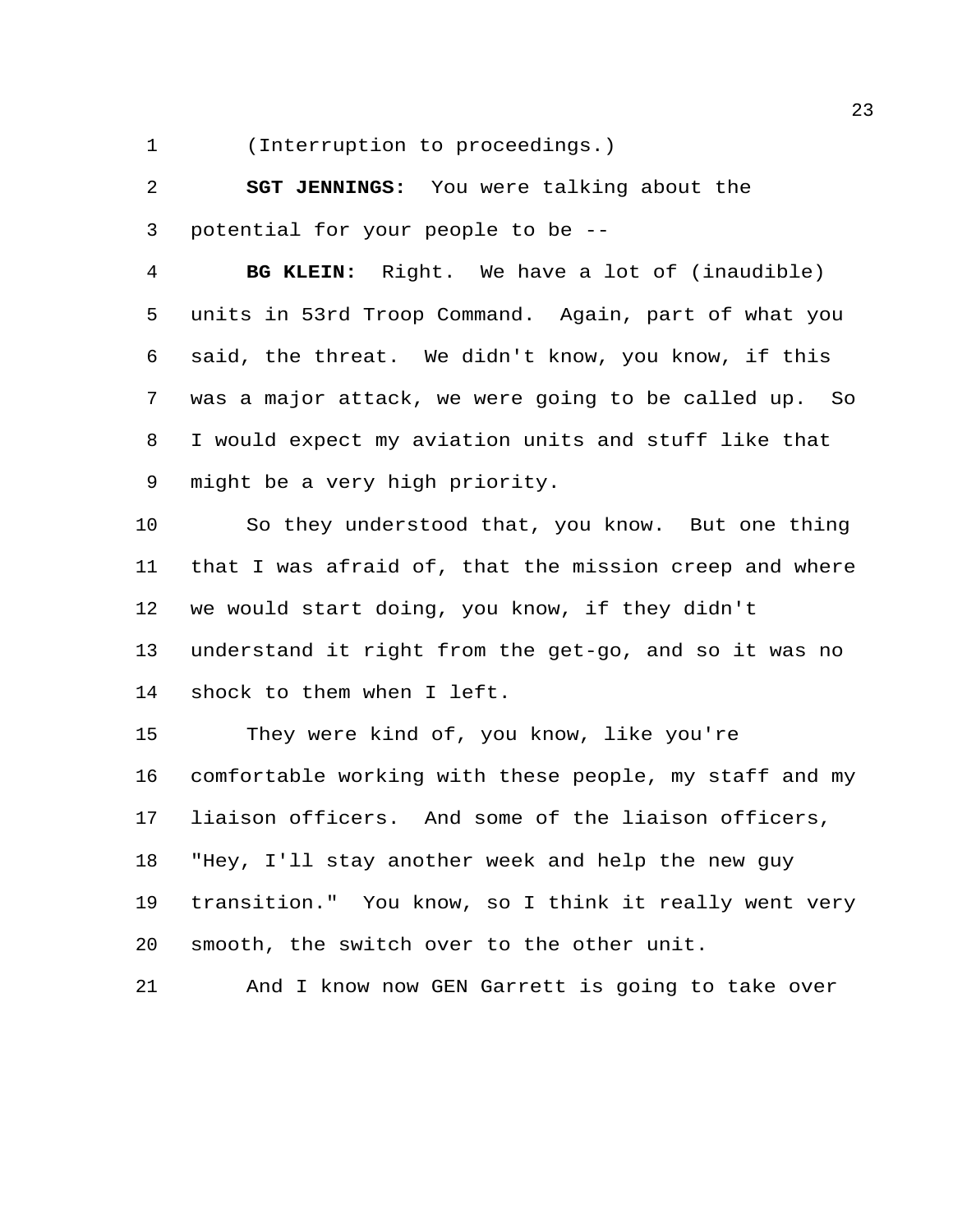(Interruption to proceedings.)

 **SGT JENNINGS:** You were talking about the potential for your people to be --

 **BG KLEIN:** Right. We have a lot of (inaudible) units in 53rd Troop Command. Again, part of what you said, the threat. We didn't know, you know, if this was a major attack, we were going to be called up. So I would expect my aviation units and stuff like that might be a very high priority.

 So they understood that, you know. But one thing that I was afraid of, that the mission creep and where we would start doing, you know, if they didn't understand it right from the get-go, and so it was no shock to them when I left.

 They were kind of, you know, like you're comfortable working with these people, my staff and my liaison officers. And some of the liaison officers, "Hey, I'll stay another week and help the new guy transition." You know, so I think it really went very smooth, the switch over to the other unit.

And I know now GEN Garrett is going to take over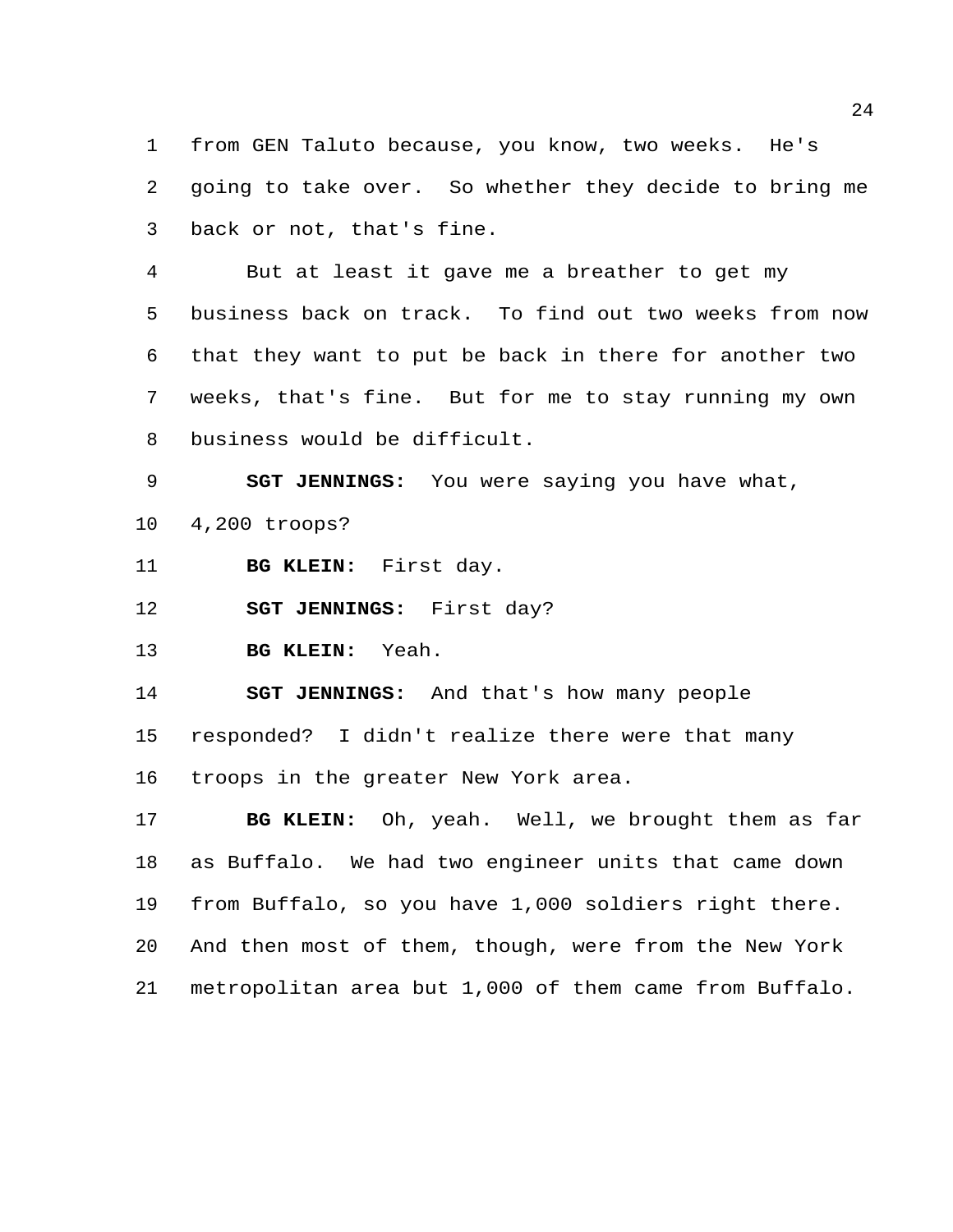from GEN Taluto because, you know, two weeks. He's going to take over. So whether they decide to bring me back or not, that's fine.

 But at least it gave me a breather to get my business back on track. To find out two weeks from now that they want to put be back in there for another two weeks, that's fine. But for me to stay running my own business would be difficult.

**SGT JENNINGS:** You were saying you have what,

4,200 troops?

**BG KLEIN:** First day.

**SGT JENNINGS:** First day?

**BG KLEIN:** Yeah.

**SGT JENNINGS:** And that's how many people

responded? I didn't realize there were that many

troops in the greater New York area.

 **BG KLEIN:** Oh, yeah. Well, we brought them as far as Buffalo. We had two engineer units that came down from Buffalo, so you have 1,000 soldiers right there. And then most of them, though, were from the New York metropolitan area but 1,000 of them came from Buffalo.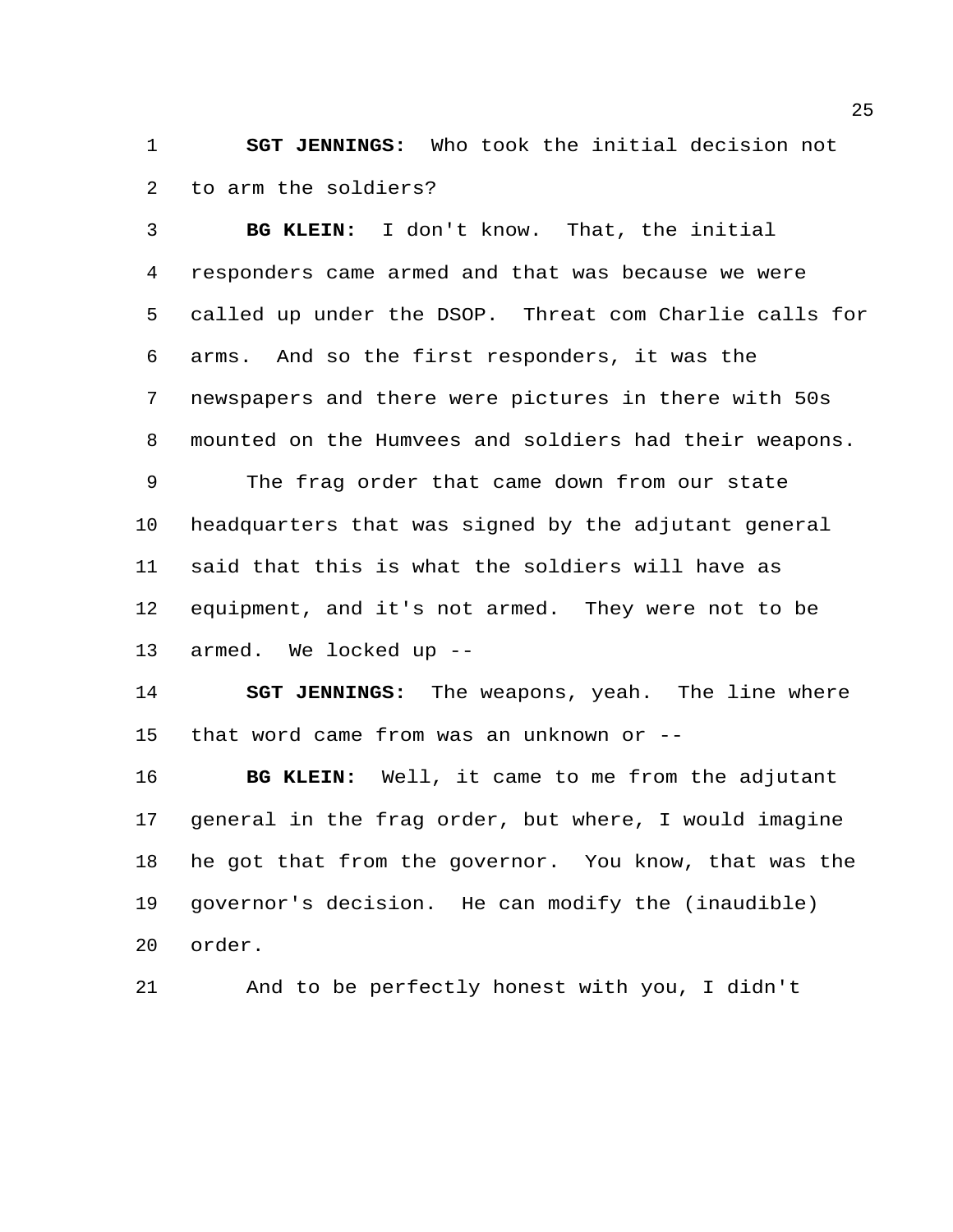**SGT JENNINGS:** Who took the initial decision not to arm the soldiers?

 **BG KLEIN:** I don't know. That, the initial responders came armed and that was because we were called up under the DSOP. Threat com Charlie calls for arms. And so the first responders, it was the newspapers and there were pictures in there with 50s mounted on the Humvees and soldiers had their weapons. The frag order that came down from our state headquarters that was signed by the adjutant general said that this is what the soldiers will have as equipment, and it's not armed. They were not to be armed. We locked up --

 **SGT JENNINGS:** The weapons, yeah. The line where that word came from was an unknown or --

 **BG KLEIN:** Well, it came to me from the adjutant general in the frag order, but where, I would imagine he got that from the governor. You know, that was the governor's decision. He can modify the (inaudible) order.

And to be perfectly honest with you, I didn't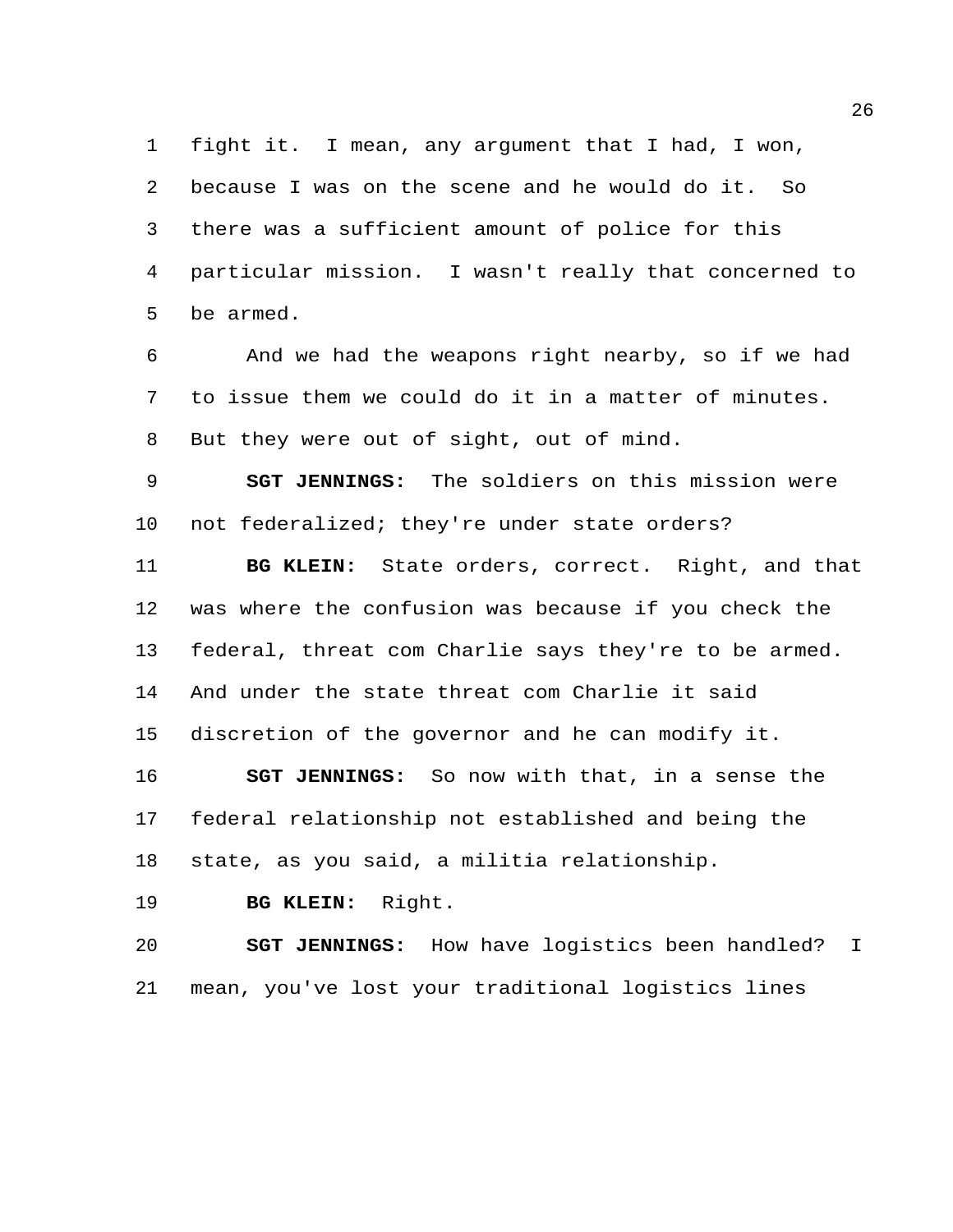fight it. I mean, any argument that I had, I won, because I was on the scene and he would do it. So there was a sufficient amount of police for this particular mission. I wasn't really that concerned to be armed.

 And we had the weapons right nearby, so if we had to issue them we could do it in a matter of minutes. But they were out of sight, out of mind.

 **SGT JENNINGS:** The soldiers on this mission were not federalized; they're under state orders?

 **BG KLEIN:** State orders, correct. Right, and that was where the confusion was because if you check the federal, threat com Charlie says they're to be armed. And under the state threat com Charlie it said discretion of the governor and he can modify it.

 **SGT JENNINGS:** So now with that, in a sense the federal relationship not established and being the state, as you said, a militia relationship.

**BG KLEIN:** Right.

 **SGT JENNINGS:** How have logistics been handled? I mean, you've lost your traditional logistics lines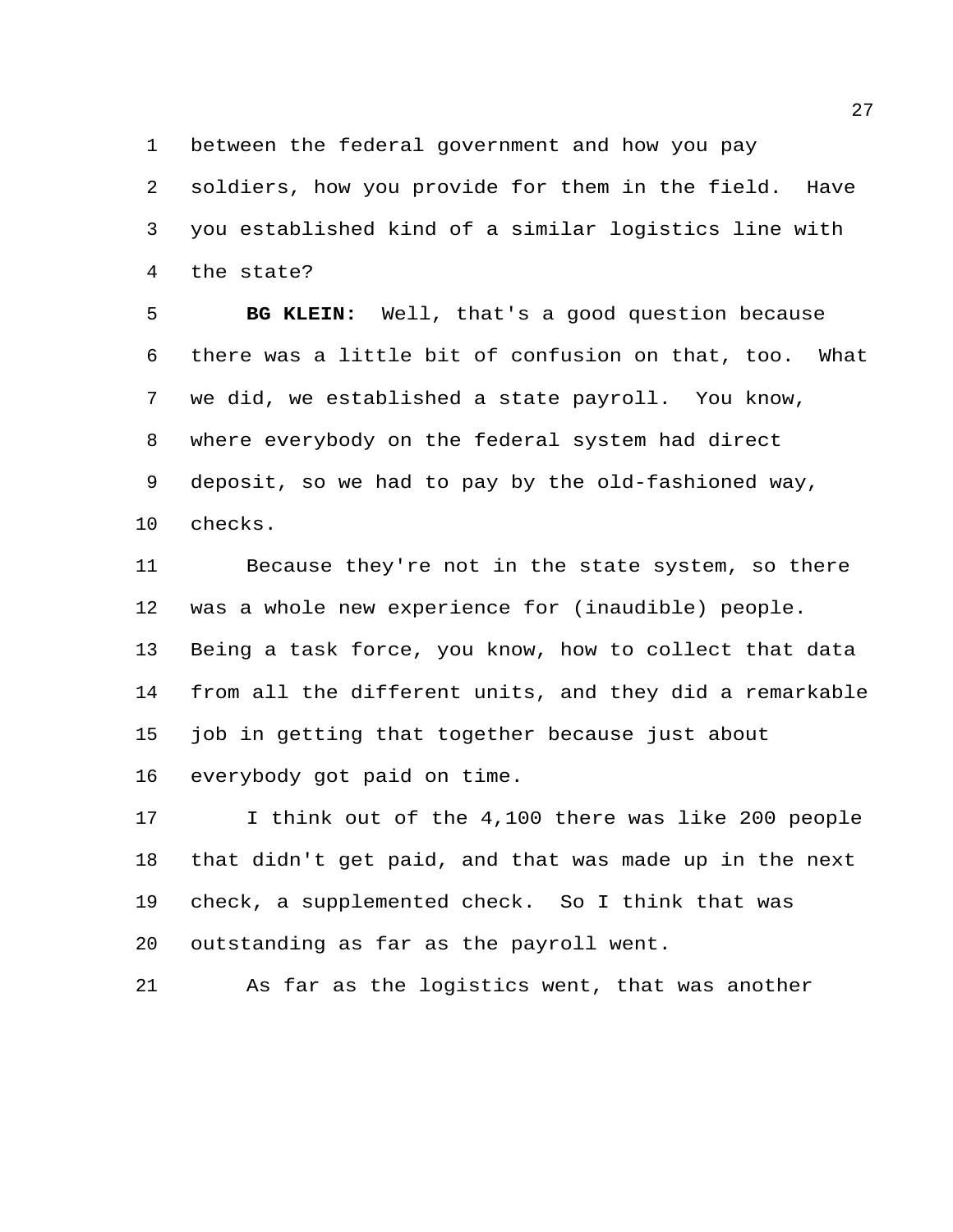between the federal government and how you pay

 soldiers, how you provide for them in the field. Have you established kind of a similar logistics line with the state?

 **BG KLEIN:** Well, that's a good question because there was a little bit of confusion on that, too. What we did, we established a state payroll. You know, where everybody on the federal system had direct deposit, so we had to pay by the old-fashioned way, checks.

 Because they're not in the state system, so there was a whole new experience for (inaudible) people. Being a task force, you know, how to collect that data from all the different units, and they did a remarkable job in getting that together because just about everybody got paid on time.

 I think out of the 4,100 there was like 200 people that didn't get paid, and that was made up in the next check, a supplemented check. So I think that was outstanding as far as the payroll went.

As far as the logistics went, that was another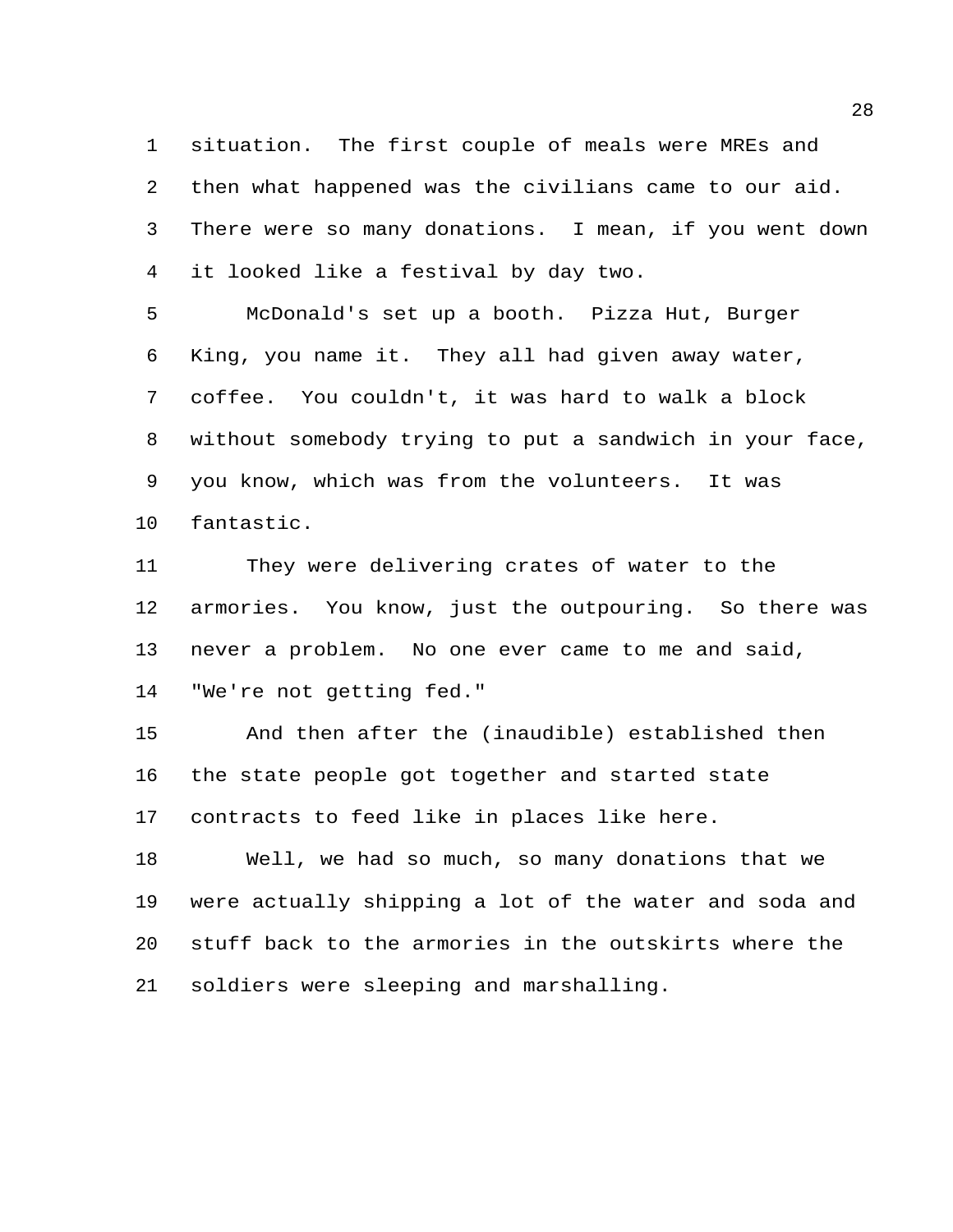situation. The first couple of meals were MREs and then what happened was the civilians came to our aid. There were so many donations. I mean, if you went down it looked like a festival by day two.

 McDonald's set up a booth. Pizza Hut, Burger King, you name it. They all had given away water, coffee. You couldn't, it was hard to walk a block without somebody trying to put a sandwich in your face, you know, which was from the volunteers. It was fantastic.

 They were delivering crates of water to the armories. You know, just the outpouring. So there was never a problem. No one ever came to me and said, "We're not getting fed."

 And then after the (inaudible) established then the state people got together and started state contracts to feed like in places like here.

 Well, we had so much, so many donations that we were actually shipping a lot of the water and soda and stuff back to the armories in the outskirts where the soldiers were sleeping and marshalling.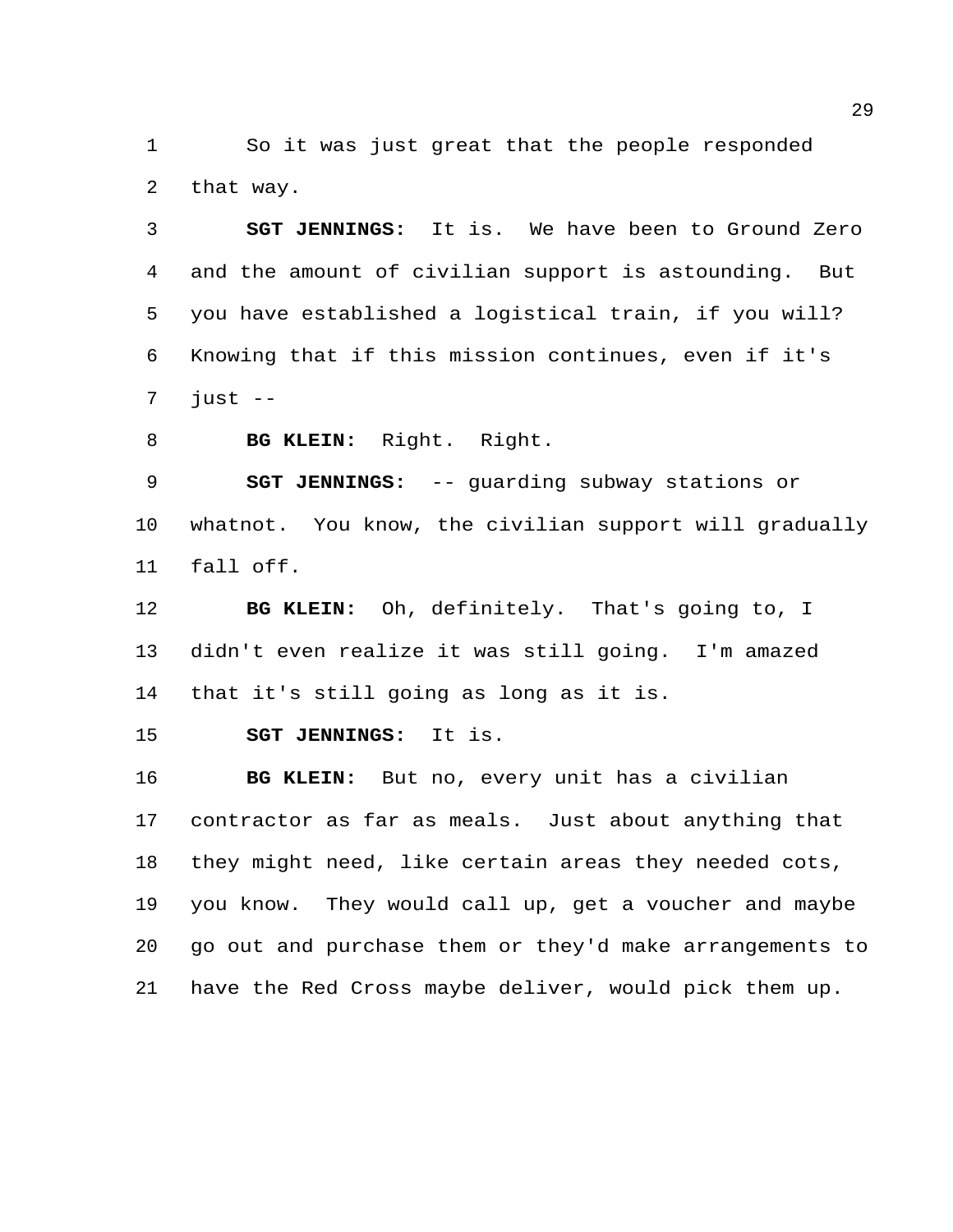So it was just great that the people responded that way.

 **SGT JENNINGS:** It is. We have been to Ground Zero and the amount of civilian support is astounding. But you have established a logistical train, if you will? Knowing that if this mission continues, even if it's just  $-$ 

**BG KLEIN:** Right. Right.

 **SGT JENNINGS:** -- guarding subway stations or whatnot. You know, the civilian support will gradually fall off.

 **BG KLEIN:** Oh, definitely. That's going to, I didn't even realize it was still going. I'm amazed that it's still going as long as it is.

**SGT JENNINGS:** It is.

 **BG KLEIN:** But no, every unit has a civilian contractor as far as meals. Just about anything that they might need, like certain areas they needed cots, you know. They would call up, get a voucher and maybe go out and purchase them or they'd make arrangements to have the Red Cross maybe deliver, would pick them up.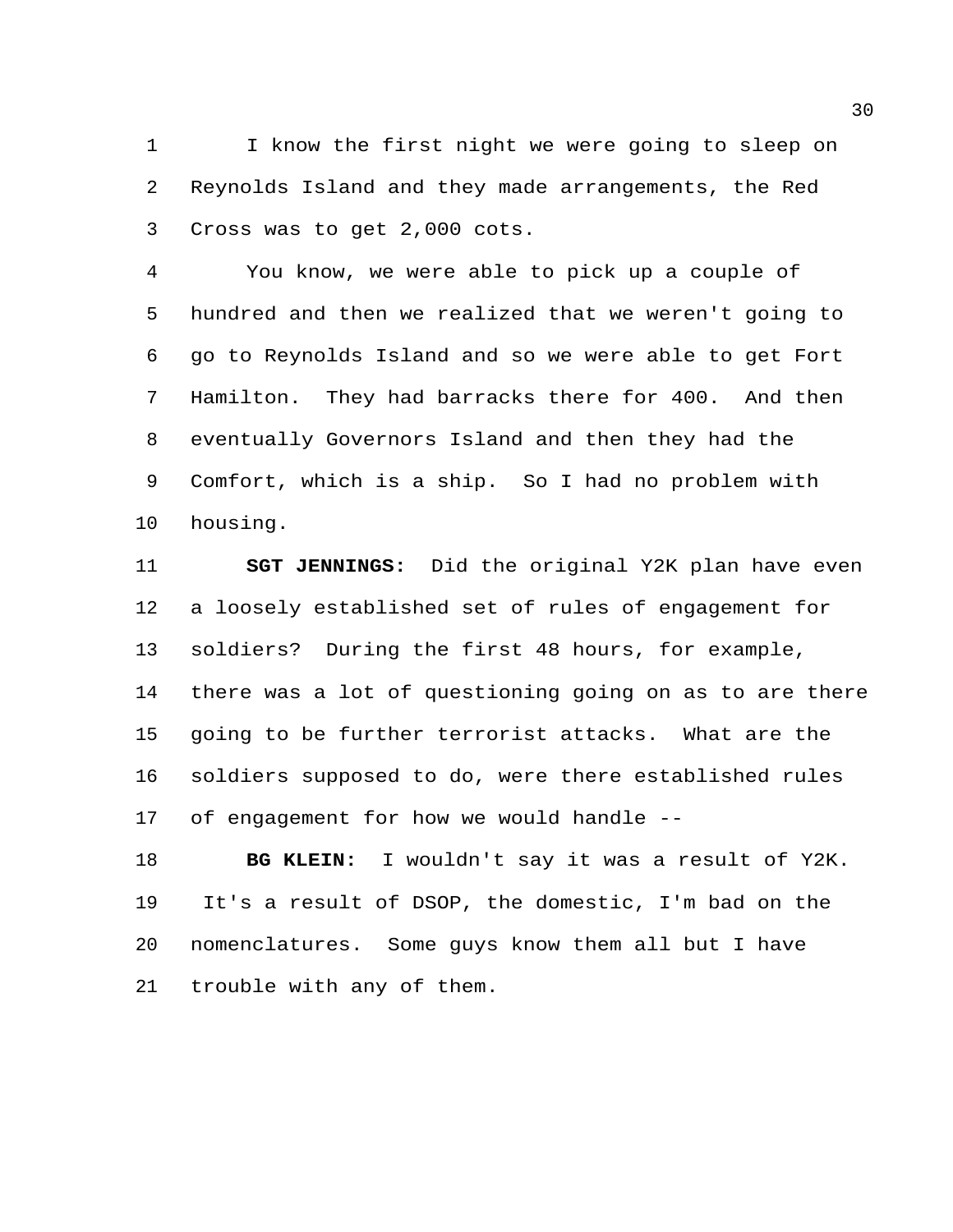I know the first night we were going to sleep on Reynolds Island and they made arrangements, the Red Cross was to get 2,000 cots.

 You know, we were able to pick up a couple of hundred and then we realized that we weren't going to go to Reynolds Island and so we were able to get Fort Hamilton. They had barracks there for 400. And then eventually Governors Island and then they had the Comfort, which is a ship. So I had no problem with housing.

 **SGT JENNINGS:** Did the original Y2K plan have even a loosely established set of rules of engagement for soldiers? During the first 48 hours, for example, there was a lot of questioning going on as to are there going to be further terrorist attacks. What are the soldiers supposed to do, were there established rules of engagement for how we would handle --

 **BG KLEIN:** I wouldn't say it was a result of Y2K. It's a result of DSOP, the domestic, I'm bad on the nomenclatures. Some guys know them all but I have trouble with any of them.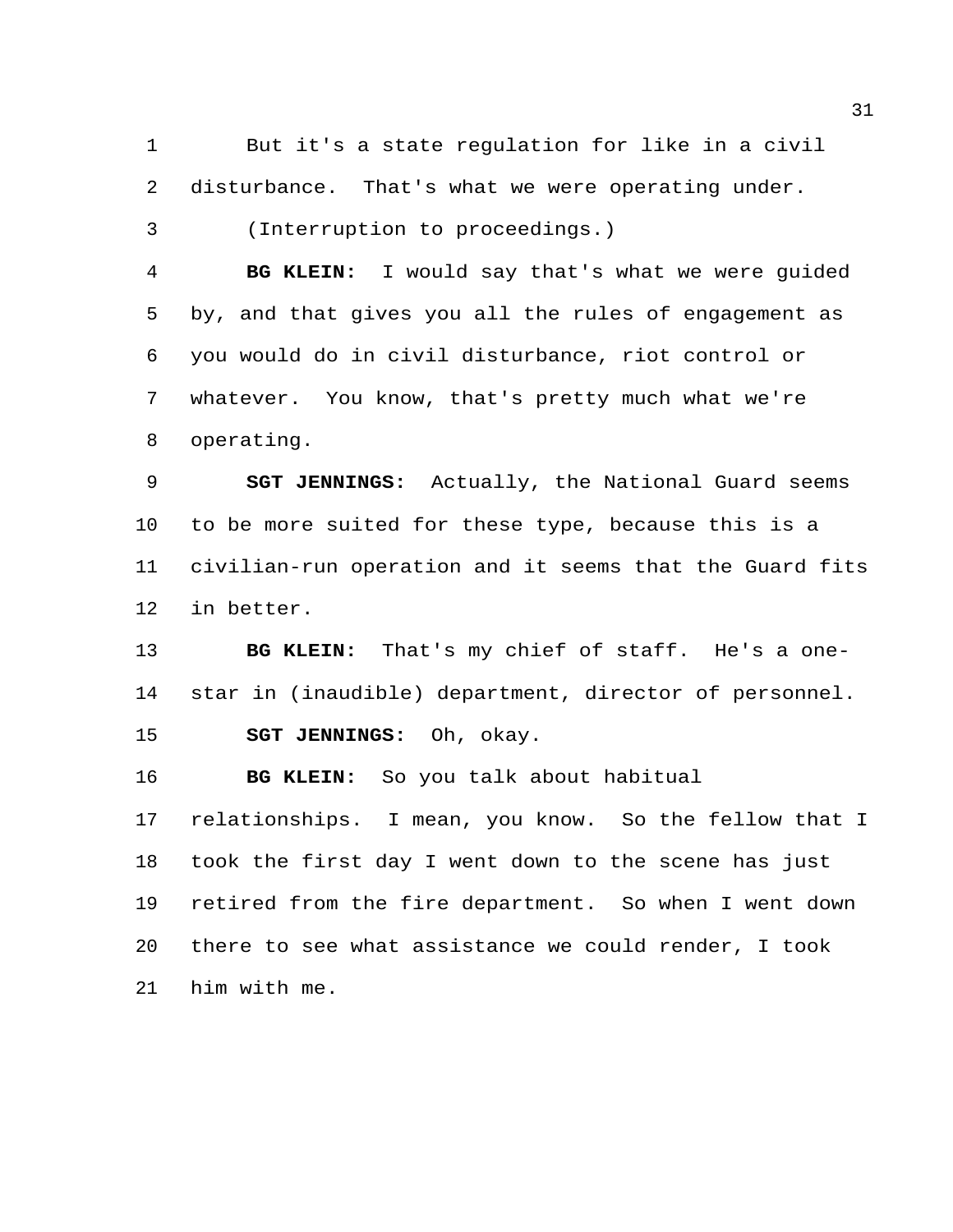But it's a state regulation for like in a civil disturbance. That's what we were operating under.

(Interruption to proceedings.)

 **BG KLEIN:** I would say that's what we were guided by, and that gives you all the rules of engagement as you would do in civil disturbance, riot control or whatever. You know, that's pretty much what we're operating.

 **SGT JENNINGS:** Actually, the National Guard seems to be more suited for these type, because this is a civilian-run operation and it seems that the Guard fits in better.

 **BG KLEIN:** That's my chief of staff. He's a one- star in (inaudible) department, director of personnel. **SGT JENNINGS:** Oh, okay.

**BG KLEIN:** So you talk about habitual

 relationships. I mean, you know. So the fellow that I took the first day I went down to the scene has just retired from the fire department. So when I went down there to see what assistance we could render, I took him with me.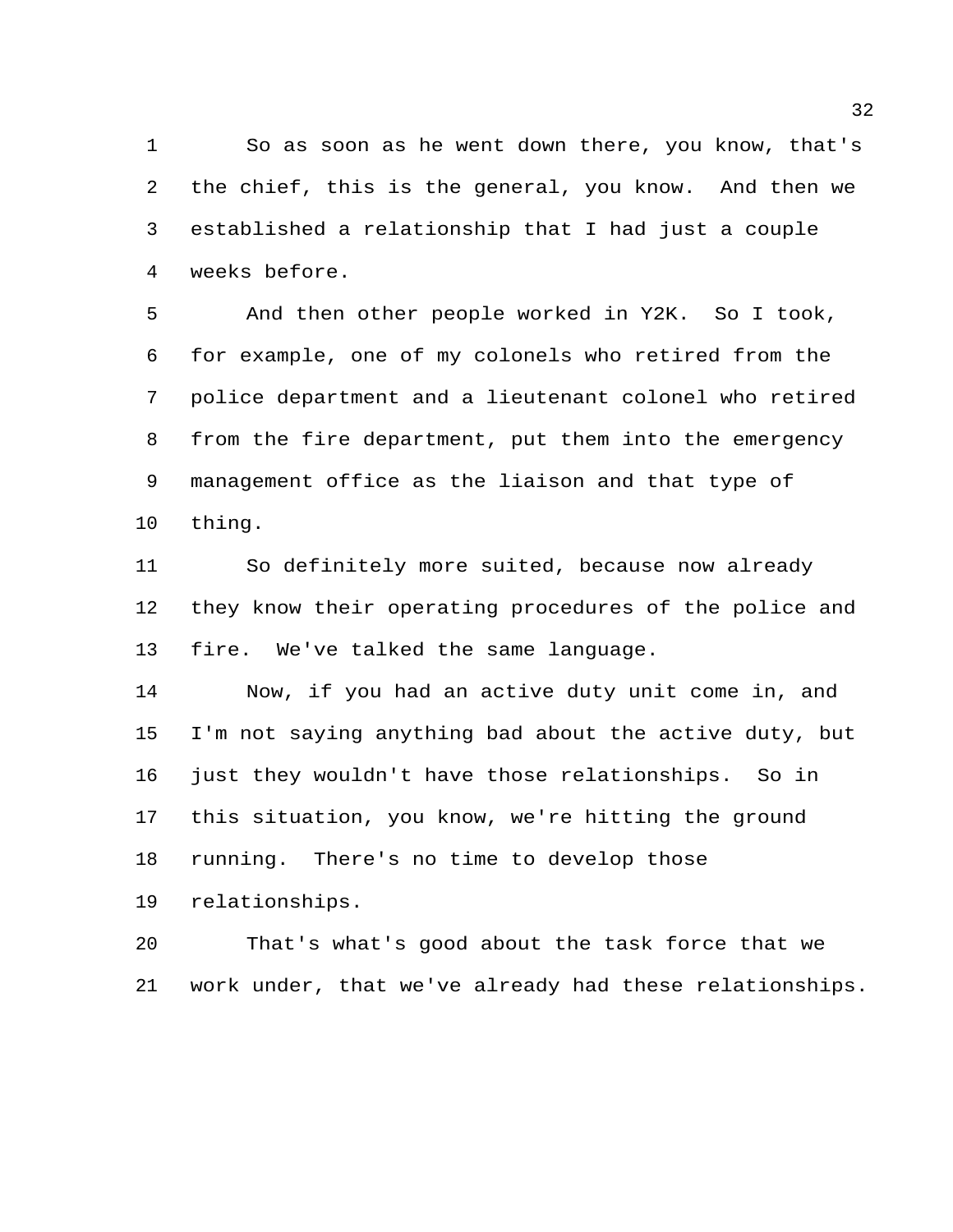So as soon as he went down there, you know, that's the chief, this is the general, you know. And then we established a relationship that I had just a couple weeks before.

 And then other people worked in Y2K. So I took, for example, one of my colonels who retired from the police department and a lieutenant colonel who retired from the fire department, put them into the emergency management office as the liaison and that type of thing.

 So definitely more suited, because now already they know their operating procedures of the police and fire. We've talked the same language.

 Now, if you had an active duty unit come in, and I'm not saying anything bad about the active duty, but just they wouldn't have those relationships. So in this situation, you know, we're hitting the ground running. There's no time to develop those

relationships.

 That's what's good about the task force that we work under, that we've already had these relationships.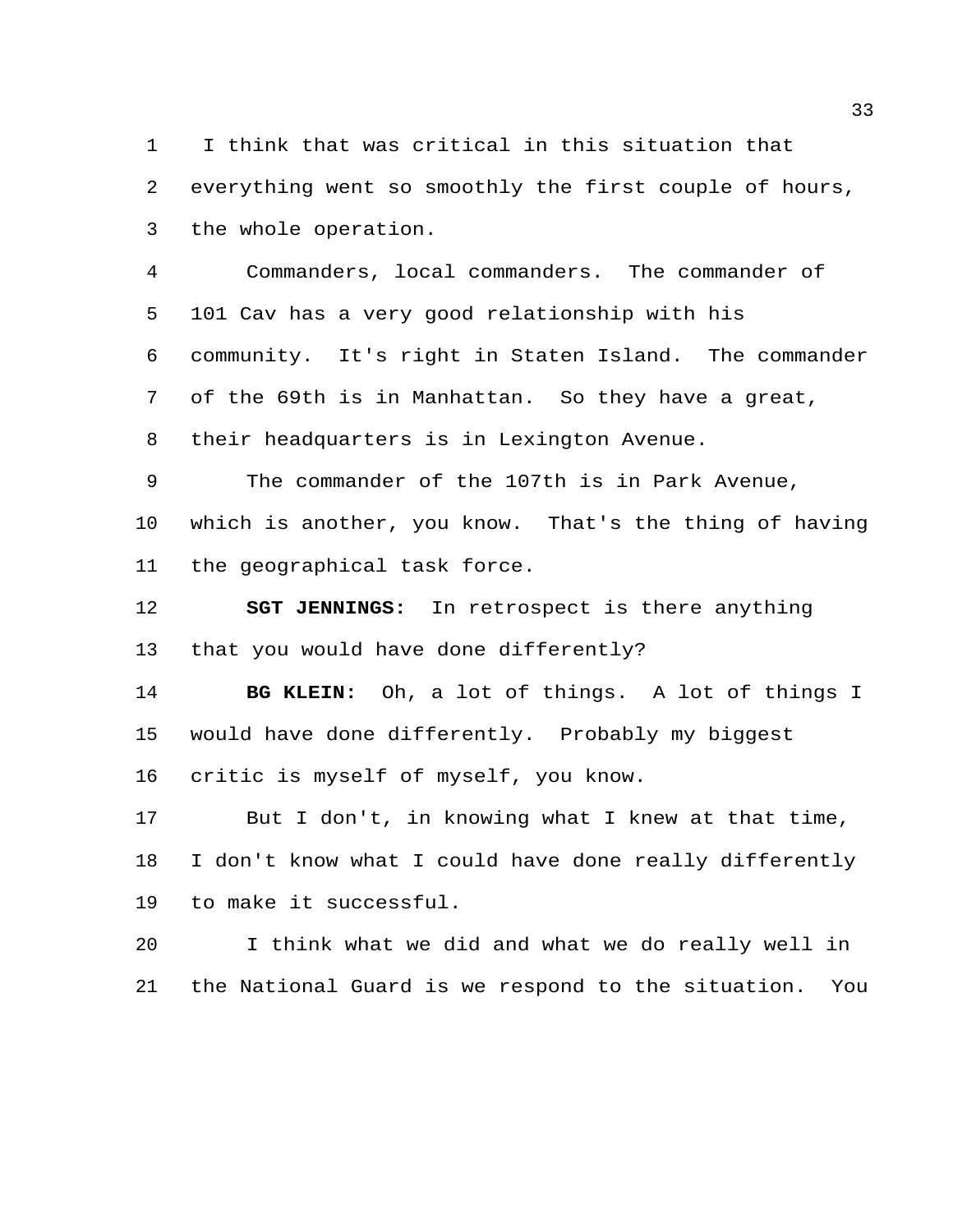I think that was critical in this situation that everything went so smoothly the first couple of hours, the whole operation.

 Commanders, local commanders. The commander of 101 Cav has a very good relationship with his community. It's right in Staten Island. The commander of the 69th is in Manhattan. So they have a great, their headquarters is in Lexington Avenue.

 The commander of the 107th is in Park Avenue, which is another, you know. That's the thing of having the geographical task force.

 **SGT JENNINGS:** In retrospect is there anything that you would have done differently?

 **BG KLEIN:** Oh, a lot of things. A lot of things I would have done differently. Probably my biggest critic is myself of myself, you know.

 But I don't, in knowing what I knew at that time, I don't know what I could have done really differently to make it successful.

 I think what we did and what we do really well in the National Guard is we respond to the situation. You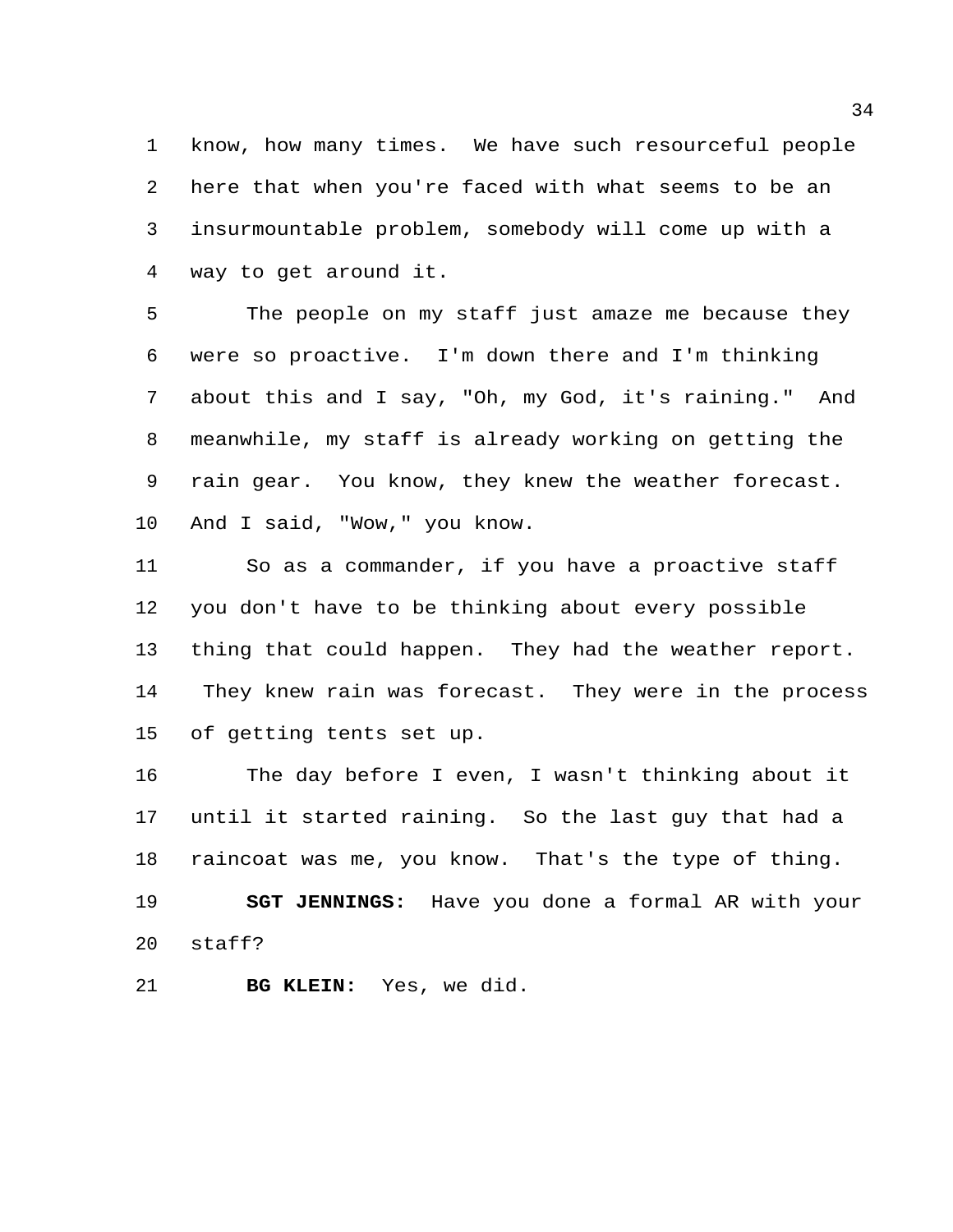know, how many times. We have such resourceful people here that when you're faced with what seems to be an insurmountable problem, somebody will come up with a way to get around it.

 The people on my staff just amaze me because they were so proactive. I'm down there and I'm thinking about this and I say, "Oh, my God, it's raining." And meanwhile, my staff is already working on getting the rain gear. You know, they knew the weather forecast. And I said, "Wow," you know.

 So as a commander, if you have a proactive staff you don't have to be thinking about every possible thing that could happen. They had the weather report. They knew rain was forecast. They were in the process of getting tents set up.

 The day before I even, I wasn't thinking about it until it started raining. So the last guy that had a raincoat was me, you know. That's the type of thing. **SGT JENNINGS:** Have you done a formal AR with your staff?

**BG KLEIN:** Yes, we did.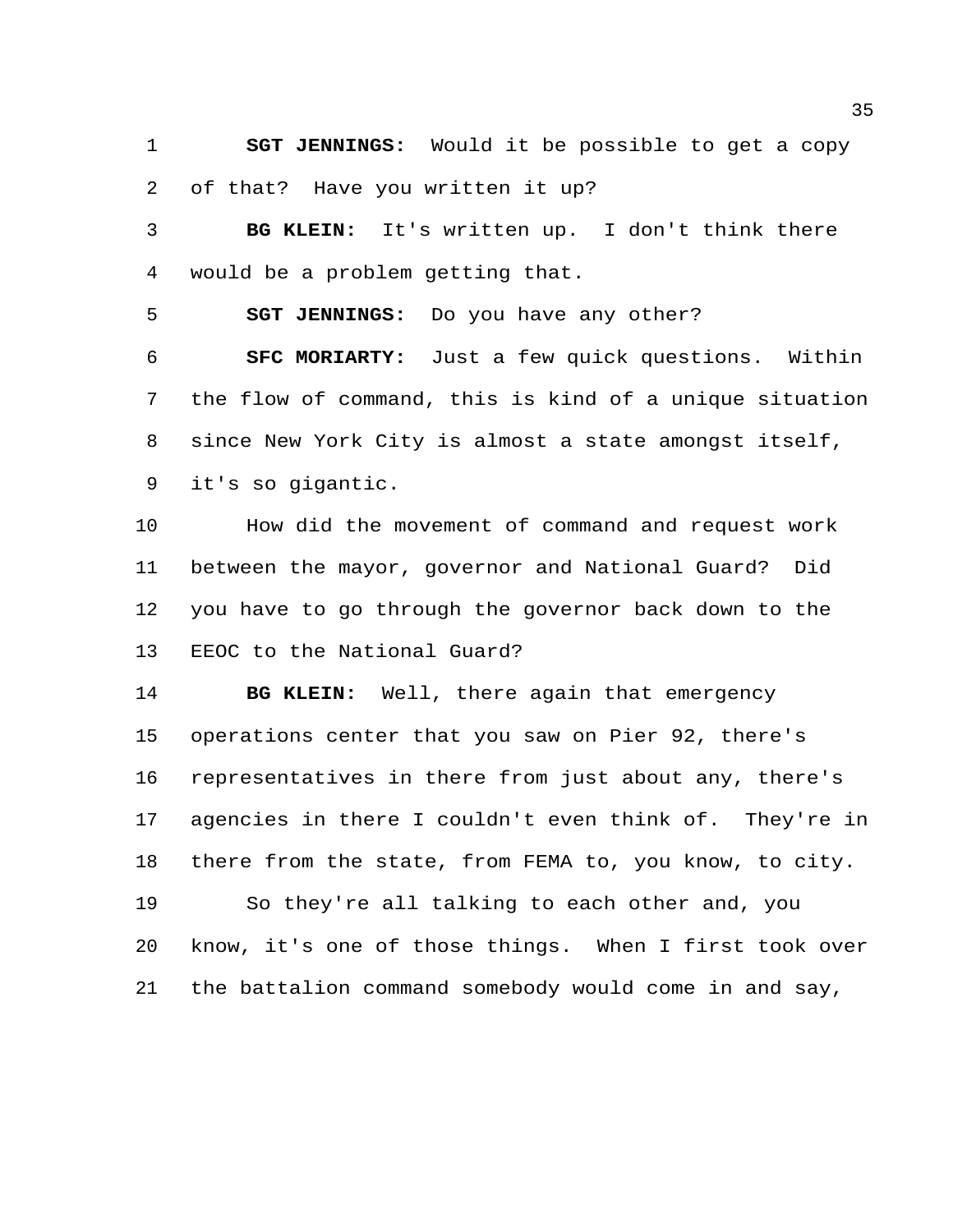**SGT JENNINGS:** Would it be possible to get a copy of that? Have you written it up?

 **BG KLEIN:** It's written up. I don't think there would be a problem getting that.

**SGT JENNINGS:** Do you have any other?

 **SFC MORIARTY:** Just a few quick questions. Within the flow of command, this is kind of a unique situation since New York City is almost a state amongst itself, it's so gigantic.

 How did the movement of command and request work between the mayor, governor and National Guard? Did you have to go through the governor back down to the EEOC to the National Guard?

 **BG KLEIN:** Well, there again that emergency operations center that you saw on Pier 92, there's representatives in there from just about any, there's agencies in there I couldn't even think of. They're in there from the state, from FEMA to, you know, to city. So they're all talking to each other and, you know, it's one of those things. When I first took over the battalion command somebody would come in and say,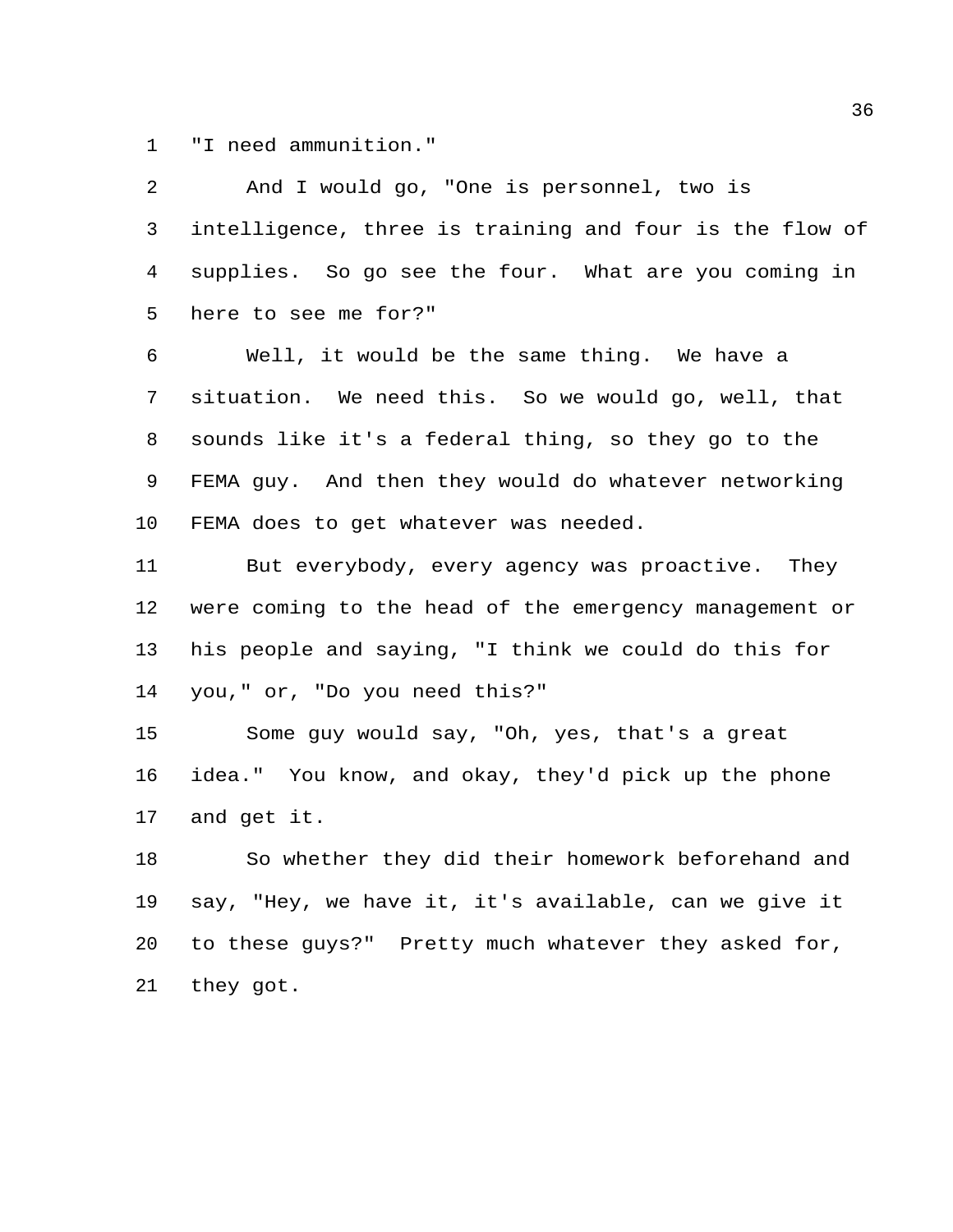"I need ammunition."

 And I would go, "One is personnel, two is intelligence, three is training and four is the flow of supplies. So go see the four. What are you coming in here to see me for?"

 Well, it would be the same thing. We have a situation. We need this. So we would go, well, that sounds like it's a federal thing, so they go to the FEMA guy. And then they would do whatever networking FEMA does to get whatever was needed.

11 But everybody, every agency was proactive. They were coming to the head of the emergency management or his people and saying, "I think we could do this for you," or, "Do you need this?"

 Some guy would say, "Oh, yes, that's a great idea." You know, and okay, they'd pick up the phone and get it.

 So whether they did their homework beforehand and say, "Hey, we have it, it's available, can we give it to these guys?" Pretty much whatever they asked for, they got.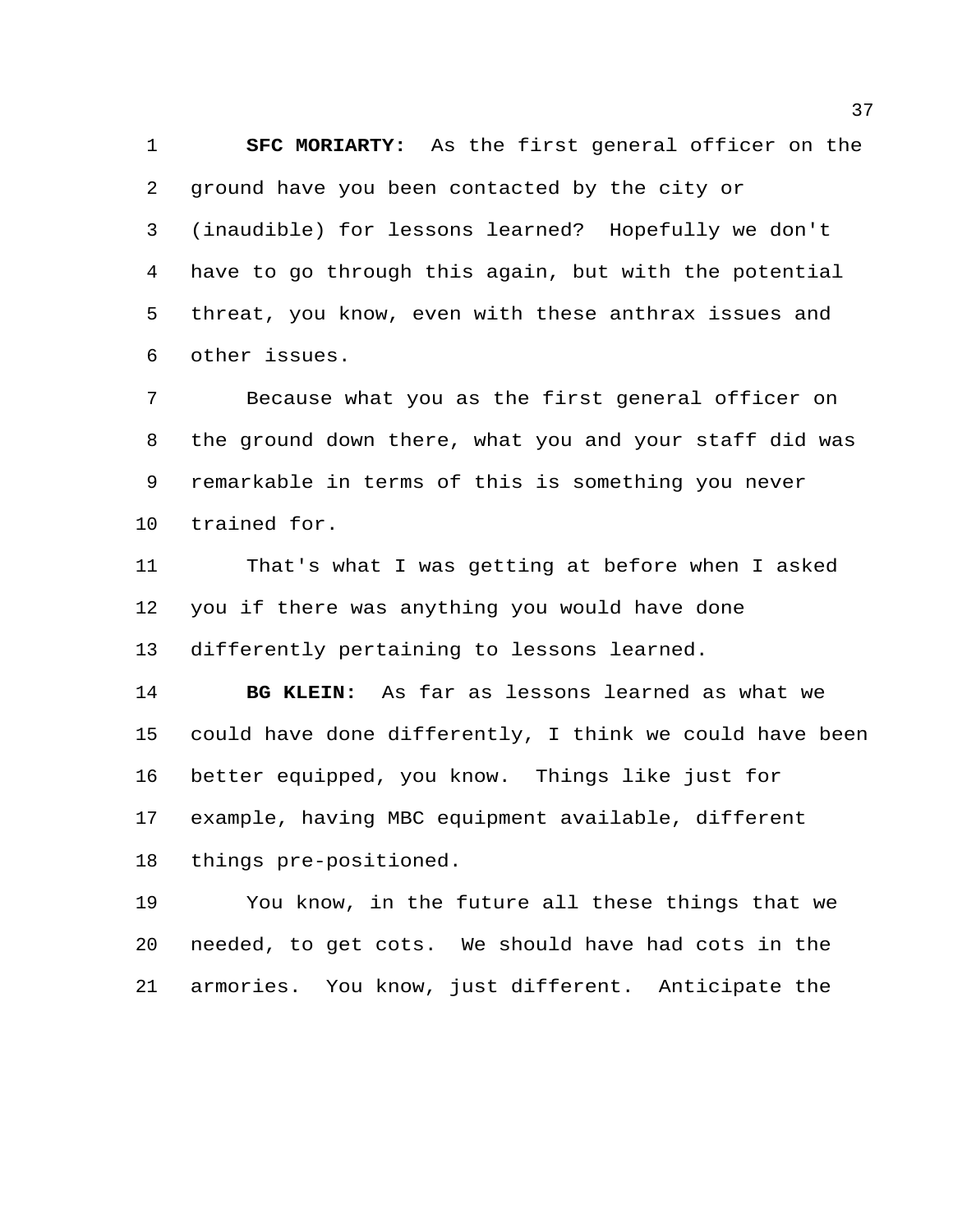**SFC MORIARTY:** As the first general officer on the ground have you been contacted by the city or (inaudible) for lessons learned? Hopefully we don't have to go through this again, but with the potential threat, you know, even with these anthrax issues and other issues.

 Because what you as the first general officer on the ground down there, what you and your staff did was remarkable in terms of this is something you never trained for.

 That's what I was getting at before when I asked you if there was anything you would have done differently pertaining to lessons learned.

 **BG KLEIN:** As far as lessons learned as what we could have done differently, I think we could have been better equipped, you know. Things like just for example, having MBC equipment available, different things pre-positioned.

 You know, in the future all these things that we needed, to get cots. We should have had cots in the armories. You know, just different. Anticipate the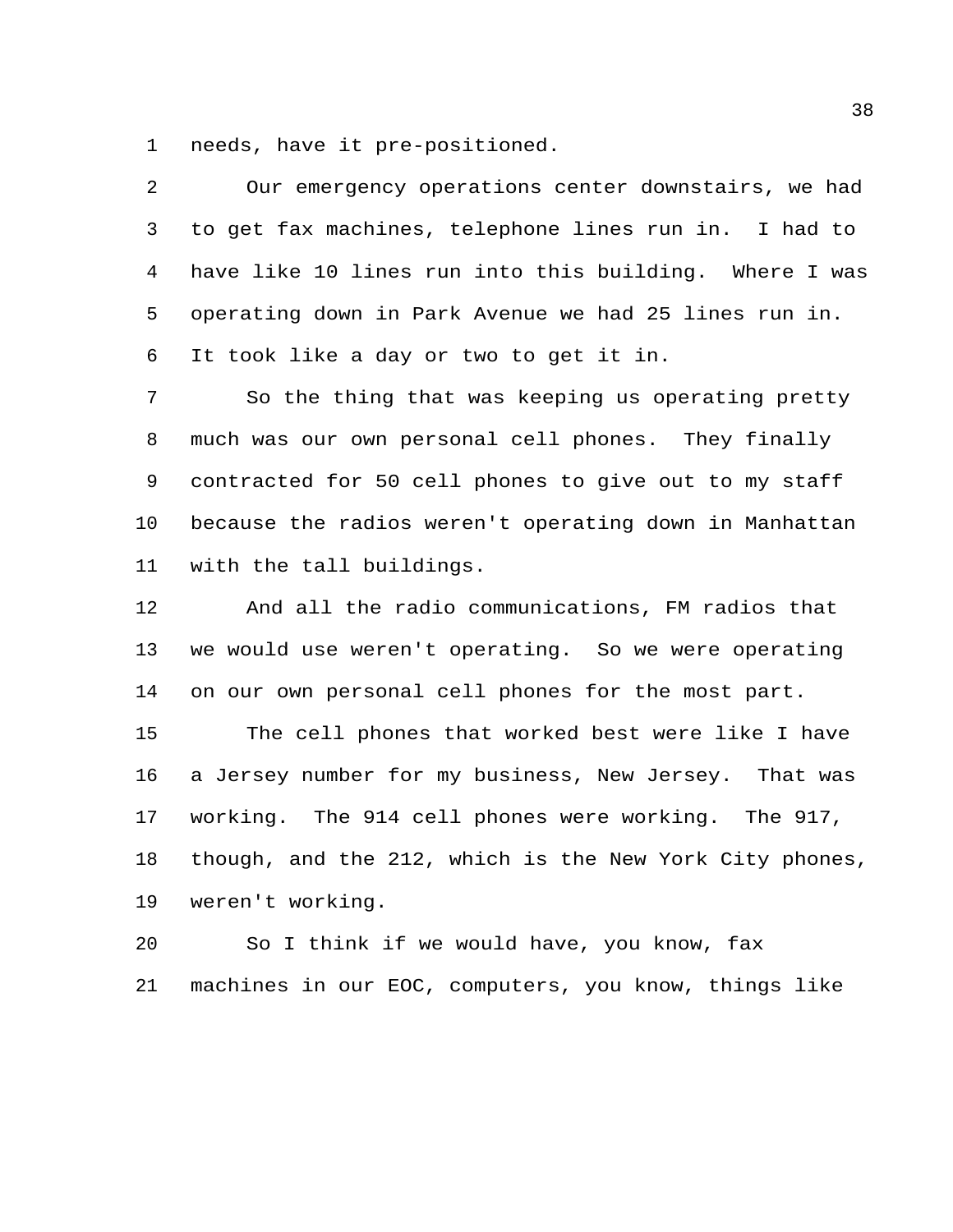needs, have it pre-positioned.

| 2              | Our emergency operations center downstairs, we had      |
|----------------|---------------------------------------------------------|
| 3              | to get fax machines, telephone lines run in. I had to   |
| $\overline{4}$ | have like 10 lines run into this building. Where I was  |
| 5              | operating down in Park Avenue we had 25 lines run in.   |
| 6              | It took like a day or two to get it in.                 |
| 7              | So the thing that was keeping us operating pretty       |
| 8              | much was our own personal cell phones. They finally     |
| 9              | contracted for 50 cell phones to give out to my staff   |
| $10 \,$        | because the radios weren't operating down in Manhattan  |
| 11             | with the tall buildings.                                |
| 12             | And all the radio communications, FM radios that        |
| 13             | we would use weren't operating. So we were operating    |
| 14             | on our own personal cell phones for the most part.      |
| 15             | The cell phones that worked best were like I have       |
| 16             | a Jersey number for my business, New Jersey. That was   |
| 17             | working. The 914 cell phones were working. The 917,     |
| 18             | though, and the 212, which is the New York City phones, |
| 19             | weren't working.                                        |

 So I think if we would have, you know, fax machines in our EOC, computers, you know, things like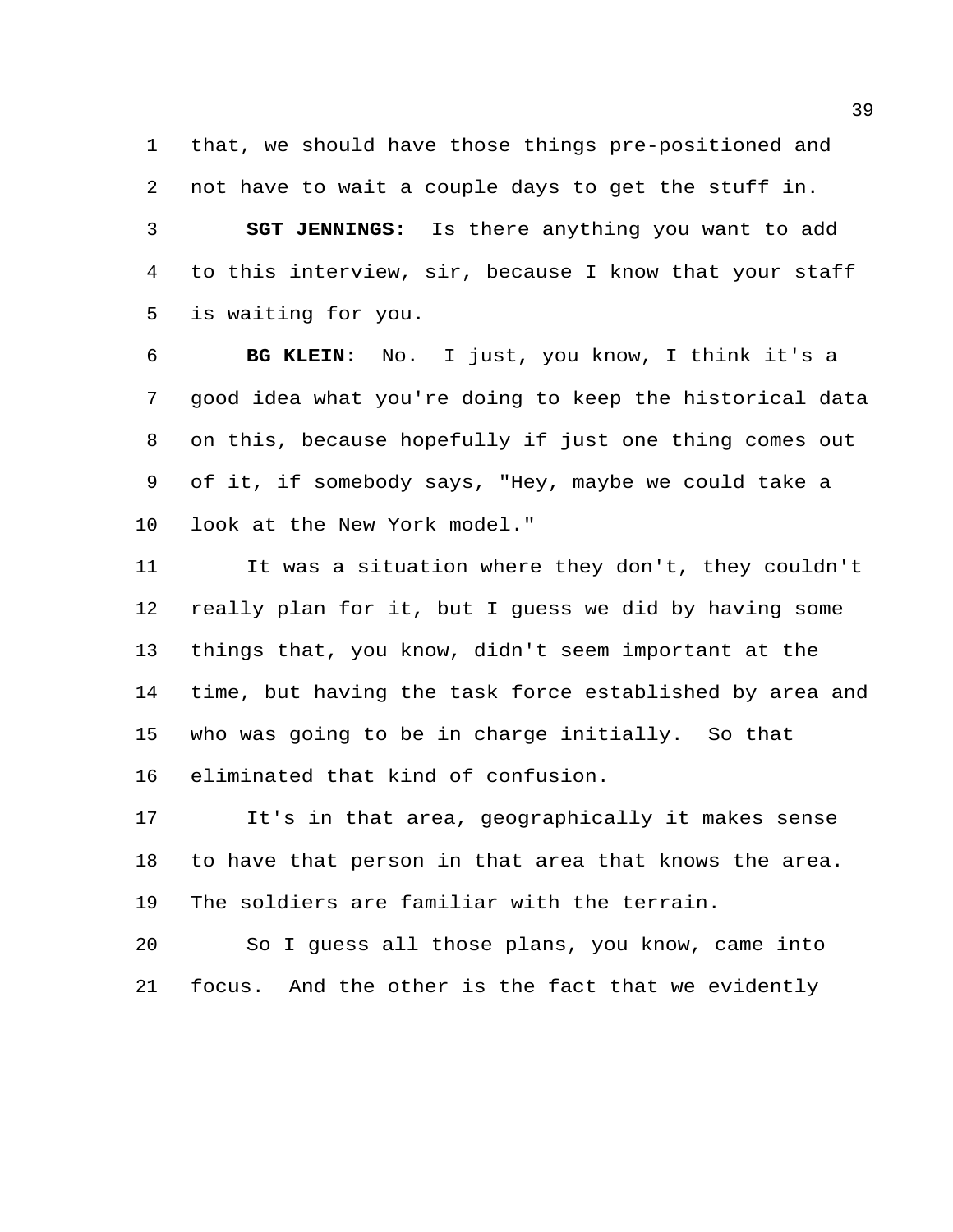that, we should have those things pre-positioned and not have to wait a couple days to get the stuff in. **SGT JENNINGS:** Is there anything you want to add to this interview, sir, because I know that your staff is waiting for you.

 **BG KLEIN:** No. I just, you know, I think it's a good idea what you're doing to keep the historical data on this, because hopefully if just one thing comes out of it, if somebody says, "Hey, maybe we could take a look at the New York model."

 It was a situation where they don't, they couldn't really plan for it, but I guess we did by having some things that, you know, didn't seem important at the time, but having the task force established by area and who was going to be in charge initially. So that eliminated that kind of confusion.

 It's in that area, geographically it makes sense to have that person in that area that knows the area. The soldiers are familiar with the terrain.

 So I guess all those plans, you know, came into focus. And the other is the fact that we evidently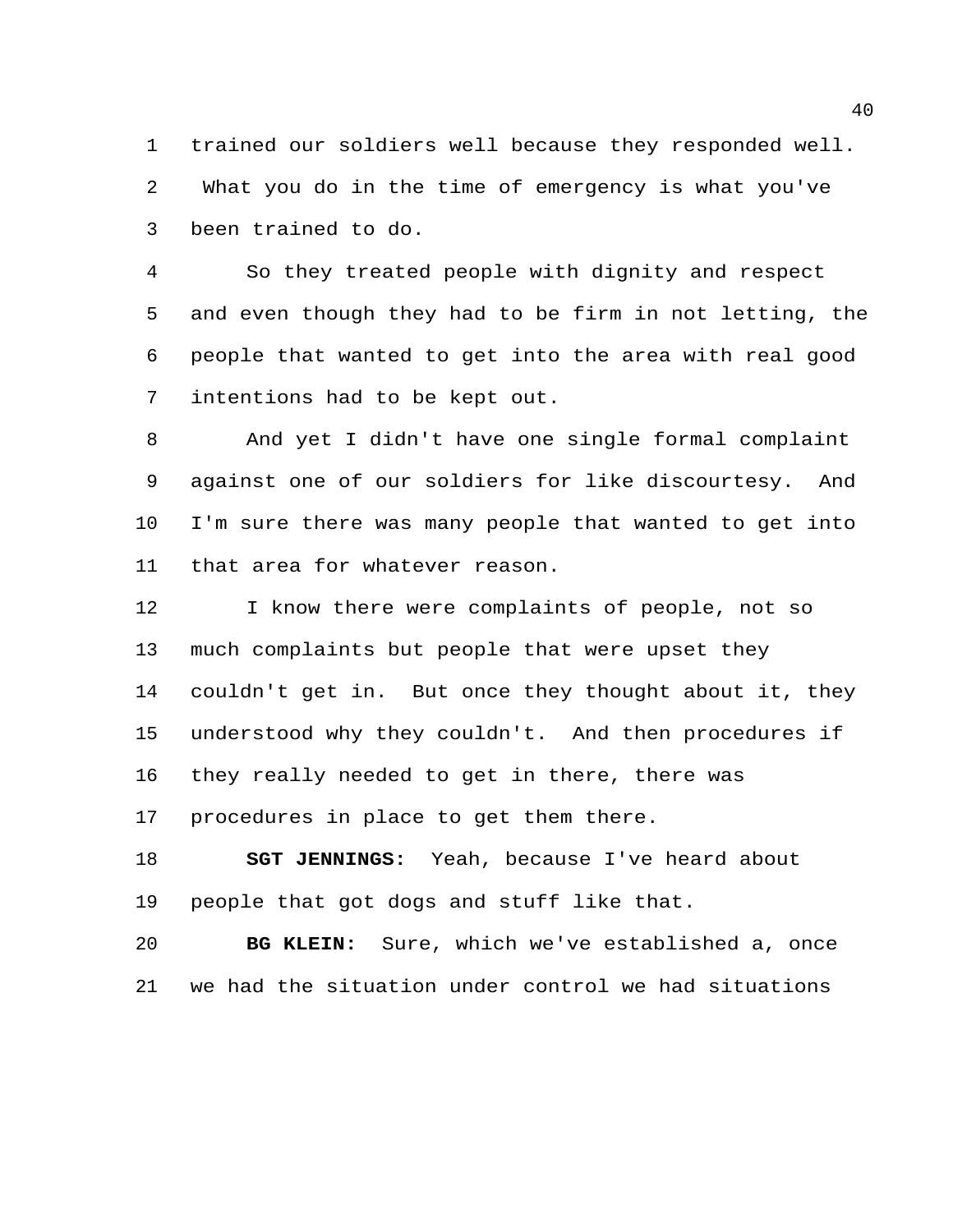trained our soldiers well because they responded well. What you do in the time of emergency is what you've been trained to do.

 So they treated people with dignity and respect and even though they had to be firm in not letting, the people that wanted to get into the area with real good intentions had to be kept out.

 And yet I didn't have one single formal complaint against one of our soldiers for like discourtesy. And I'm sure there was many people that wanted to get into that area for whatever reason.

 I know there were complaints of people, not so much complaints but people that were upset they couldn't get in. But once they thought about it, they understood why they couldn't. And then procedures if they really needed to get in there, there was procedures in place to get them there.

 **SGT JENNINGS:** Yeah, because I've heard about people that got dogs and stuff like that.

 **BG KLEIN:** Sure, which we've established a, once we had the situation under control we had situations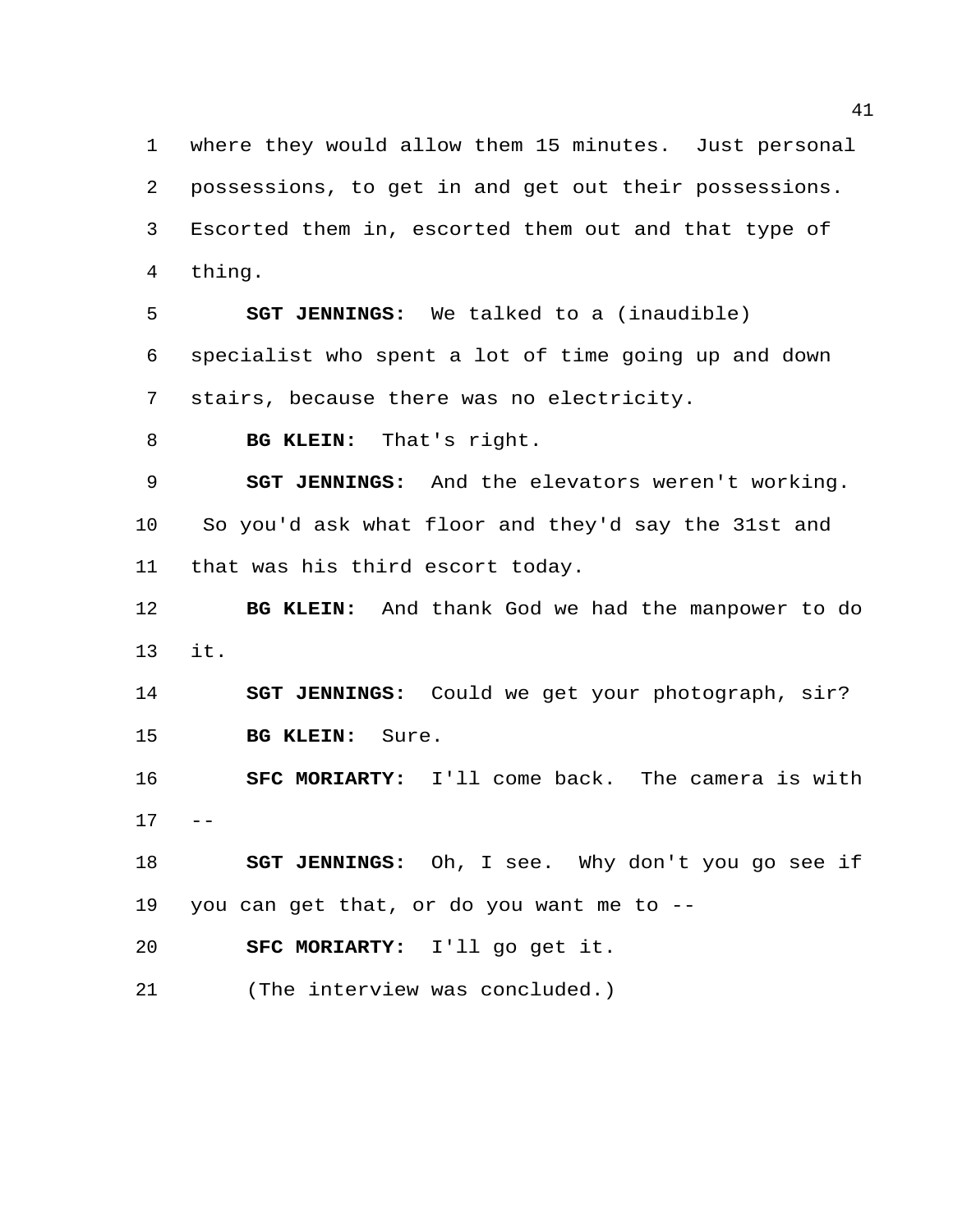where they would allow them 15 minutes. Just personal possessions, to get in and get out their possessions. Escorted them in, escorted them out and that type of thing.

 **SGT JENNINGS:** We talked to a (inaudible) specialist who spent a lot of time going up and down stairs, because there was no electricity.

**BG KLEIN:** That's right.

 **SGT JENNINGS:** And the elevators weren't working. So you'd ask what floor and they'd say the 31st and that was his third escort today.

 **BG KLEIN:** And thank God we had the manpower to do it.

 **SGT JENNINGS:** Could we get your photograph, sir? **BG KLEIN:** Sure.

 **SFC MORIARTY:** I'll come back. The camera is with  $17 - -$ 

 **SGT JENNINGS:** Oh, I see. Why don't you go see if you can get that, or do you want me to --

**SFC MORIARTY:** I'll go get it.

(The interview was concluded.)